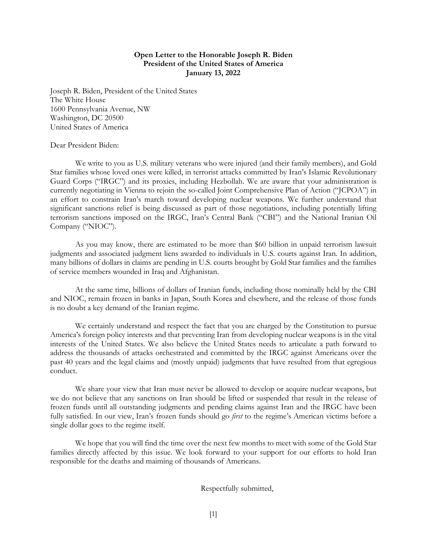## **Open Letter to the Honorable Joseph R. Biden President of the United States of America January 13, 2022**

Joseph R. Biden, President of the United States The White House 1600 Pennsylvania Avenue, NW Washington, DC 20500 United States of America

## Dear President Biden:

We write to you as U.S. military veterans who were injured (and their family members), and Gold Star families whose loved ones were killed, in terrorist attacks committed by Iran's Islamic Revolutionary Guard Corps ("IRGC") and its proxies, including Hezbollah. We are aware that your administration is currently negotiating in Vienna to rejoin the so-called Joint Comprehensive Plan of Action ("JCPOA") in an effort to constrain Iran's march toward developing nuclear weapons. We further understand that significant sanctions relief is being discussed as part of those negotiations, including potentially lifting terrorism sanctions imposed on the IRGC, Iran's Central Bank ("CBI") and the National Iranian Oil Company ("NIOC").

As you may know, there are estimated to be more than \$60 billion in unpaid terrorism lawsuit judgments and associated judgment liens awarded to individuals in U.S. courts against Iran. In addition, many billions of dollars in claims are pending in U.S. courts brought by Gold Star families and the families of service members wounded in Iraq and Afghanistan.

At the same time, billions of dollars of Iranian funds, including those nominally held by the CBI and NIOC, remain frozen in banks in Japan, South Korea and elsewhere, and the release of those funds is no doubt a key demand of the Iranian regime.

We certainly understand and respect the fact that you are charged by the Constitution to pursue America's foreign policy interests and that preventing Iran from developing nuclear weapons is in the vital interests of the United States. We also believe the United States needs to articulate a path forward to address the thousands of attacks orchestrated and committed by the IRGC against Americans over the past 40 years and the legal claims and (mostly unpaid) judgments that have resulted from that egregious conduct.

We share your view that Iran must never be allowed to develop or acquire nuclear weapons, but we do not believe that any sanctions on Iran should be lifted or suspended that result in the release of frozen funds until all outstanding judgments and pending claims against Iran and the IRGC have been fully satisfied. In our view, Iran's frozen funds should go *first* to the regime's American victims before a single dollar goes to the regime itself.

We hope that you will find the time over the next few months to meet with some of the Gold Star families directly affected by this issue. We look forward to your support for our efforts to hold Iran responsible for the deaths and maiming of thousands of Americans.

Respectfully submitted,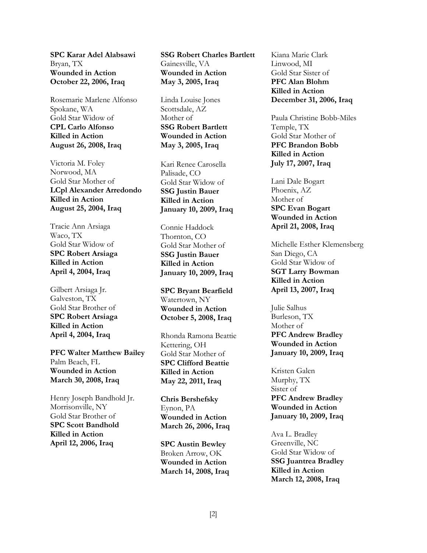**SPC Karar Adel Alabsawi** Bryan, TX **Wounded in Action October 22, 2006, Iraq** 

Rosemarie Marlene Alfonso Spokane, WA Gold Star Widow of **CPL Carlo Alfonso Killed in Action August 26, 2008, Iraq** 

Victoria M. Foley Norwood, MA Gold Star Mother of **LCpl Alexander Arredondo Killed in Action August 25, 2004, Iraq** 

Tracie Ann Arsiaga Waco, TX Gold Star Widow of **SPC Robert Arsiaga Killed in Action April 4, 2004, Iraq** 

Gilbert Arsiaga Jr. Galveston, TX Gold Star Brother of **SPC Robert Arsiaga Killed in Action April 4, 2004, Iraq** 

**PFC Walter Matthew Bailey**  Palm Beach, FL **Wounded in Action March 30, 2008, Iraq** 

Henry Joseph Bandhold Jr. Morrisonville, NY Gold Star Brother of **SPC Scott Bandhold Killed in Action April 12, 2006, Iraq** 

**SSG Robert Charles Bartlett** Gainesville, VA **Wounded in Action May 3, 2005, Iraq** 

Linda Louise Jones Scottsdale, AZ Mother of **SSG Robert Bartlett Wounded in Action May 3, 2005, Iraq** 

Kari Renee Carosella Palisade, CO Gold Star Widow of **SSG Justin Bauer Killed in Action January 10, 2009, Iraq** 

Connie Haddock Thornton, CO Gold Star Mother of **SSG Justin Bauer Killed in Action January 10, 2009, Iraq** 

**SPC Bryant Bearfield** Watertown, NY **Wounded in Action October 5, 2008, Iraq** 

Rhonda Ramona Beattie Kettering, OH Gold Star Mother of **SPC Clifford Beattie Killed in Action May 22, 2011, Iraq** 

**Chris Bershefsky** Eynon, PA **Wounded in Action March 26, 2006, Iraq** 

**SPC Austin Bewley** Broken Arrow, OK **Wounded in Action March 14, 2008, Iraq**

Kiana Marie Clark Linwood, MI Gold Star Sister of **PFC Alan Blohm Killed in Action December 31, 2006, Iraq** 

Paula Christine Bobb-Miles Temple, TX Gold Star Mother of **PFC Brandon Bobb Killed in Action July 17, 2007, Iraq** 

Lani Dale Bogart Phoenix, AZ Mother of **SPC Evan Bogart Wounded in Action April 21, 2008, Iraq** 

Michelle Esther Klemensberg San Diego, CA Gold Star Widow of **SGT Larry Bowman Killed in Action April 13, 2007, Iraq** 

Julie Salhus Burleson, TX Mother of **PFC Andrew Bradley Wounded in Action January 10, 2009, Iraq** 

Kristen Galen Murphy, TX Sister of **PFC Andrew Bradley Wounded in Action January 10, 2009, Iraq** 

Ava L. Bradley Greenville, NC Gold Star Widow of **SSG Juantrea Bradley Killed in Action March 12, 2008, Iraq**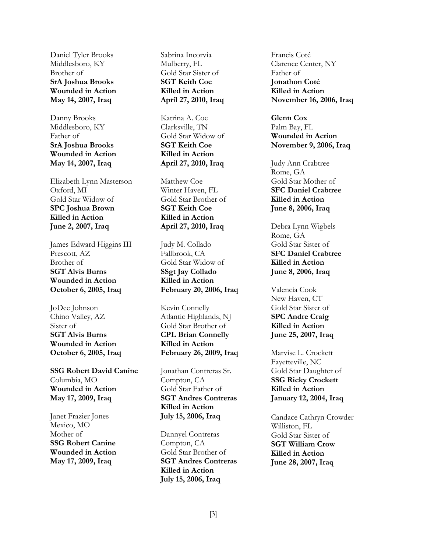Daniel Tyler Brooks Middlesboro, KY Brother of **SrA Joshua Brooks Wounded in Action May 14, 2007, Iraq** 

Danny Brooks Middlesboro, KY Father of **SrA Joshua Brooks Wounded in Action May 14, 2007, Iraq** 

Elizabeth Lynn Masterson Oxford, MI Gold Star Widow of **SPC Joshua Brown Killed in Action June 2, 2007, Iraq** 

James Edward Higgins III Prescott, AZ Brother of **SGT Alvis Burns Wounded in Action October 6, 2005, Iraq** 

JoDee Johnson Chino Valley, AZ Sister of **SGT Alvis Burns Wounded in Action October 6, 2005, Iraq** 

**SSG Robert David Canine** Columbia, MO **Wounded in Action May 17, 2009, Iraq** 

Janet Frazier Jones Mexico, MO Mother of **SSG Robert Canine Wounded in Action May 17, 2009, Iraq** 

Sabrina Incorvia Mulberry, FL Gold Star Sister of **SGT Keith Coe Killed in Action April 27, 2010, Iraq** 

Katrina A. Coe Clarksville, TN Gold Star Widow of **SGT Keith Coe Killed in Action April 27, 2010, Iraq** 

Matthew Coe Winter Haven, FL Gold Star Brother of **SGT Keith Coe Killed in Action April 27, 2010, Iraq** 

Judy M. Collado Fallbrook, CA Gold Star Widow of **SSgt Jay Collado Killed in Action February 20, 2006, Iraq** 

Kevin Connelly Atlantic Highlands, NJ Gold Star Brother of **CPL Brian Connelly Killed in Action February 26, 2009, Iraq** 

Jonathan Contreras Sr. Compton, CA Gold Star Father of **SGT Andres Contreras Killed in Action July 15, 2006, Iraq** 

Dannyel Contreras Compton, CA Gold Star Brother of **SGT Andres Contreras Killed in Action July 15, 2006, Iraq** 

Francis Coté Clarence Center, NY Father of **Jonathon Coté Killed in Action November 16, 2006, Iraq** 

**Glenn Cox** Palm Bay, FL **Wounded in Action November 9, 2006, Iraq** 

Judy Ann Crabtree Rome, GA Gold Star Mother of **SFC Daniel Crabtree Killed in Action June 8, 2006, Iraq** 

Debra Lynn Wigbels Rome, GA Gold Star Sister of **SFC Daniel Crabtree Killed in Action June 8, 2006, Iraq** 

Valencia Cook New Haven, CT Gold Star Sister of **SPC Andre Craig Killed in Action June 25, 2007, Iraq** 

Marvise L. Crockett Fayetteville, NC Gold Star Daughter of **SSG Ricky Crockett Killed in Action January 12, 2004, Iraq** 

Candace Cathryn Crowder Williston, FL Gold Star Sister of **SGT William Crow Killed in Action June 28, 2007, Iraq**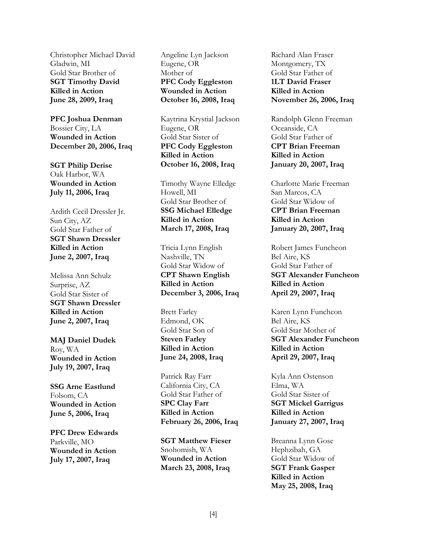Christopher Michael David Gladwin, MI Gold Star Brother of **SGT Timothy David Killed in Action June 28, 2009, Iraq** 

**PFC Joshua Denman** Bossier City, LA **Wounded in Action December 20, 2006, Iraq** 

**SGT Philip Derise** Oak Harbor, WA **Wounded in Action July 11, 2006, Iraq** 

Ardith Cecil Dressler Jr. Sun City, AZ Gold Star Father of **SGT Shawn Dressler Killed in Action June 2, 2007, Iraq** 

Melissa Ann Schulz Surprise, AZ Gold Star Sister of **SGT Shawn Dressler Killed in Action June 2, 2007, Iraq** 

**MAJ Daniel Dudek** Roy, WA **Wounded in Action July 19, 2007, Iraq** 

**SSG Arne Eastlund** Folsom, CA **Wounded in Action June 5, 2006, Iraq** 

**PFC Drew Edwards** Parkville, MO **Wounded in Action July 17, 2007, Iraq** 

Angeline Lyn Jackson Eugene, OR Mother of **PFC Cody Eggleston Wounded in Action October 16, 2008, Iraq** 

Kaytrina Krystial Jackson Eugene, OR Gold Star Sister of **PFC Cody Eggleston Killed in Action October 16, 2008, Iraq** 

Timothy Wayne Elledge Howell, MI Gold Star Brother of **SSG Michael Elledge Killed in Action March 17, 2008, Iraq** 

Tricia Lynn English Nashville, TN Gold Star Widow of **CPT Shawn English Killed in Action December 3, 2006, Iraq** 

Brett Farley Edmond, OK Gold Star Son of **Steven Farley Killed in Action June 24, 2008, Iraq** 

Patrick Ray Farr California City, CA Gold Star Father of **SPC Clay Farr Killed in Action February 26, 2006, Iraq** 

**SGT Matthew Fieser** Snohomish, WA **Wounded in Action March 23, 2008, Iraq** 

Richard Alan Fraser Montgomery, TX Gold Star Father of **1LT David Fraser Killed in Action November 26, 2006, Iraq** 

Randolph Glenn Freeman Oceanside, CA Gold Star Father of **CPT Brian Freeman Killed in Action January 20, 2007, Iraq** 

Charlotte Marie Freeman San Marcos, CA Gold Star Widow of **CPT Brian Freeman Killed in Action January 20, 2007, Iraq** 

Robert James Funcheon Bel Aire, KS Gold Star Father of **SGT Alexander Funcheon Killed in Action April 29, 2007, Iraq** 

Karen Lynn Funcheon Bel Aire, KS Gold Star Mother of **SGT Alexander Funcheon Killed in Action April 29, 2007, Iraq** 

Kyla Ann Ostenson Elma, WA Gold Star Sister of **SGT Mickel Garrigus Killed in Action January 27, 2007, Iraq** 

Breanna Lynn Gose Hephzibah, GA Gold Star Widow of **SGT Frank Gasper Killed in Action May 25, 2008, Iraq**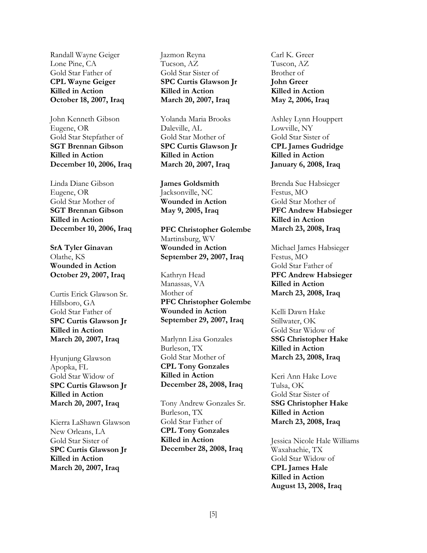Randall Wayne Geiger Lone Pine, CA Gold Star Father of **CPL Wayne Geiger Killed in Action October 18, 2007, Iraq** 

John Kenneth Gibson Eugene, OR Gold Star Stepfather of **SGT Brennan Gibson Killed in Action December 10, 2006, Iraq** 

Linda Diane Gibson Eugene, OR Gold Star Mother of **SGT Brennan Gibson Killed in Action December 10, 2006, Iraq** 

**SrA Tyler Ginavan** Olathe, KS **Wounded in Action October 29, 2007, Iraq** 

Curtis Erick Glawson Sr. Hillsboro, GA Gold Star Father of **SPC Curtis Glawson Jr Killed in Action March 20, 2007, Iraq** 

Hyunjung Glawson Apopka, FL Gold Star Widow of **SPC Curtis Glawson Jr Killed in Action March 20, 2007, Iraq** 

Kierra LaShawn Glawson New Orleans, LA Gold Star Sister of **SPC Curtis Glawson Jr Killed in Action March 20, 2007, Iraq** 

Jazmon Reyna Tucson, AZ Gold Star Sister of **SPC Curtis Glawson Jr Killed in Action March 20, 2007, Iraq** 

Yolanda Maria Brooks Daleville, AL Gold Star Mother of **SPC Curtis Glawson Jr Killed in Action March 20, 2007, Iraq** 

**James Goldsmith** Jacksonville, NC **Wounded in Action May 9, 2005, Iraq** 

**PFC Christopher Golembe** Martinsburg, WV **Wounded in Action September 29, 2007, Iraq** 

Kathryn Head Manassas, VA Mother of **PFC Christopher Golembe Wounded in Action September 29, 2007, Iraq**

Marlynn Lisa Gonzales Burleson, TX Gold Star Mother of **CPL Tony Gonzales Killed in Action December 28, 2008, Iraq** 

Tony Andrew Gonzales Sr. Burleson, TX Gold Star Father of **CPL Tony Gonzales Killed in Action December 28, 2008, Iraq** 

Carl K. Greer Tuscon, AZ Brother of **John Greer Killed in Action May 2, 2006, Iraq** 

Ashley Lynn Houppert Lowville, NY Gold Star Sister of **CPL James Gudridge Killed in Action January 6, 2008, Iraq** 

Brenda Sue Habsieger Festus, MO Gold Star Mother of **PFC Andrew Habsieger Killed in Action March 23, 2008, Iraq** 

Michael James Habsieger Festus, MO Gold Star Father of **PFC Andrew Habsieger Killed in Action March 23, 2008, Iraq** 

Kelli Dawn Hake Stillwater, OK Gold Star Widow of **SSG Christopher Hake Killed in Action March 23, 2008, Iraq** 

Keri Ann Hake Love Tulsa, OK Gold Star Sister of **SSG Christopher Hake Killed in Action March 23, 2008, Iraq** 

Jessica Nicole Hale Williams Waxahachie, TX Gold Star Widow of **CPL James Hale Killed in Action August 13, 2008, Iraq**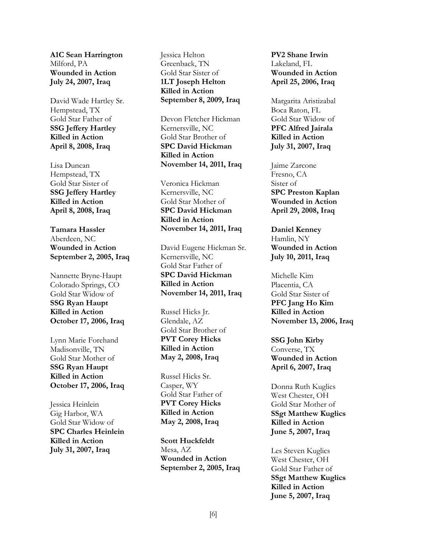**A1C Sean Harrington** Milford, PA **Wounded in Action July 24, 2007, Iraq** 

David Wade Hartley Sr. Hempstead, TX Gold Star Father of **SSG Jeffery Hartley Killed in Action April 8, 2008, Iraq** 

Lisa Duncan Hempstead, TX Gold Star Sister of **SSG Jeffery Hartley Killed in Action April 8, 2008, Iraq** 

**Tamara Hassler** Aberdeen, NC **Wounded in Action September 2, 2005, Iraq** 

Nannette Bryne-Haupt Colorado Springs, CO Gold Star Widow of **SSG Ryan Haupt Killed in Action October 17, 2006, Iraq** 

Lynn Marie Forehand Madisonville, TN Gold Star Mother of **SSG Ryan Haupt Killed in Action October 17, 2006, Iraq** 

Jessica Heinlein Gig Harbor, WA Gold Star Widow of **SPC Charles Heinlein Killed in Action July 31, 2007, Iraq** 

Jessica Helton Greenback, TN Gold Star Sister of **1LT Joseph Helton Killed in Action September 8, 2009, Iraq** 

Devon Fletcher Hickman Kernersville, NC Gold Star Brother of **SPC David Hickman Killed in Action November 14, 2011, Iraq** 

Veronica Hickman Kernersville, NC Gold Star Mother of **SPC David Hickman Killed in Action November 14, 2011, Iraq** 

David Eugene Hickman Sr. Kernersville, NC Gold Star Father of **SPC David Hickman Killed in Action November 14, 2011, Iraq** 

Russel Hicks Jr. Glendale, AZ Gold Star Brother of **PVT Corey Hicks Killed in Action May 2, 2008, Iraq** 

Russel Hicks Sr. Casper, WY Gold Star Father of **PVT Corey Hicks Killed in Action May 2, 2008, Iraq** 

**Scott Huckfeldt** Mesa, AZ **Wounded in Action September 2, 2005, Iraq**  **PV2 Shane Irwin** Lakeland, FL **Wounded in Action April 25, 2006, Iraq** 

Margarita Aristizabal Boca Raton, FL Gold Star Widow of **PFC Alfred Jairala Killed in Action July 31, 2007, Iraq** 

Jaime Zarcone Fresno, CA Sister of **SPC Preston Kaplan Wounded in Action April 29, 2008, Iraq** 

**Daniel Kenney** Hamlin, NY **Wounded in Action July 10, 2011, Iraq** 

Michelle Kim Placentia, CA Gold Star Sister of **PFC Jang Ho Kim Killed in Action November 13, 2006, Iraq** 

**SSG John Kirby** Converse, TX **Wounded in Action April 6, 2007, Iraq** 

Donna Ruth Kuglics West Chester, OH Gold Star Mother of **SSgt Matthew Kuglics Killed in Action June 5, 2007, Iraq** 

Les Steven Kuglics West Chester, OH Gold Star Father of **SSgt Matthew Kuglics Killed in Action June 5, 2007, Iraq**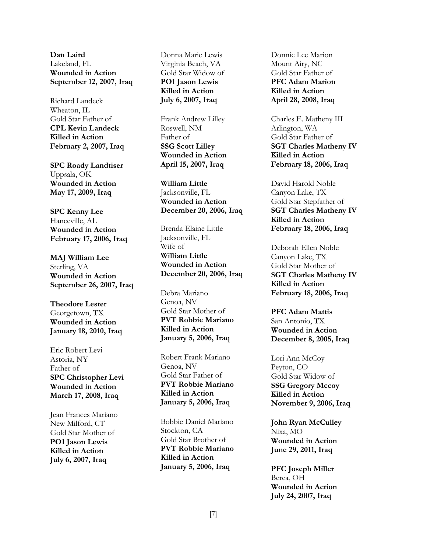**Dan Laird** Lakeland, FL **Wounded in Action September 12, 2007, Iraq** 

Richard Landeck Wheaton, IL Gold Star Father of **CPL Kevin Landeck Killed in Action February 2, 2007, Iraq** 

**SPC Roady Landtiser** Uppsala, OK **Wounded in Action May 17, 2009, Iraq** 

**SPC Kenny Lee** Hanceville, AL **Wounded in Action February 17, 2006, Iraq** 

**MAJ William Lee** Sterling, VA **Wounded in Action September 26, 2007, Iraq** 

**Theodore Lester** Georgetown, TX **Wounded in Action January 18, 2010, Iraq** 

Eric Robert Levi Astoria, NY Father of **SPC Christopher Levi Wounded in Action March 17, 2008, Iraq** 

Jean Frances Mariano New Milford, CT Gold Star Mother of **PO1 Jason Lewis Killed in Action July 6, 2007, Iraq** 

Donna Marie Lewis Virginia Beach, VA Gold Star Widow of **PO1 Jason Lewis Killed in Action July 6, 2007, Iraq** 

Frank Andrew Lilley Roswell, NM Father of **SSG Scott Lilley Wounded in Action April 15, 2007, Iraq** 

**William Little**  Jacksonville, FL **Wounded in Action December 20, 2006, Iraq**

Brenda Elaine Little Jacksonville, FL Wife of **William Little Wounded in Action December 20, 2006, Iraq** 

Debra Mariano Genoa, NV Gold Star Mother of **PVT Robbie Mariano Killed in Action January 5, 2006, Iraq** 

Robert Frank Mariano Genoa, NV Gold Star Father of **PVT Robbie Mariano Killed in Action January 5, 2006, Iraq** 

Bobbie Daniel Mariano Stockton, CA Gold Star Brother of **PVT Robbie Mariano Killed in Action January 5, 2006, Iraq** 

Donnie Lee Marion Mount Airy, NC Gold Star Father of **PFC Adam Marion Killed in Action April 28, 2008, Iraq** 

Charles E. Matheny III Arlington, WA Gold Star Father of **SGT Charles Matheny IV Killed in Action February 18, 2006, Iraq** 

David Harold Noble Canyon Lake, TX Gold Star Stepfather of **SGT Charles Matheny IV Killed in Action February 18, 2006, Iraq** 

Deborah Ellen Noble Canyon Lake, TX Gold Star Mother of **SGT Charles Matheny IV Killed in Action February 18, 2006, Iraq** 

**PFC Adam Mattis** San Antonio, TX **Wounded in Action December 8, 2005, Iraq** 

Lori Ann McCoy Peyton, CO Gold Star Widow of **SSG Gregory Mccoy Killed in Action November 9, 2006, Iraq** 

**John Ryan McCulley** Nixa, MO **Wounded in Action June 29, 2011, Iraq** 

**PFC Joseph Miller** Berea, OH **Wounded in Action July 24, 2007, Iraq**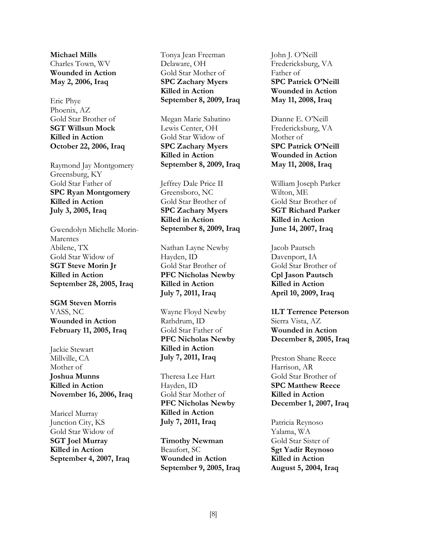**Michael Mills** Charles Town, WV **Wounded in Action May 2, 2006, Iraq** 

Eric Phye Phoenix, AZ Gold Star Brother of **SGT Willsun Mock Killed in Action October 22, 2006, Iraq** 

Raymond Jay Montgomery Greensburg, KY Gold Star Father of **SPC Ryan Montgomery Killed in Action July 3, 2005, Iraq** 

Gwendolyn Michelle Morin-Marentes Abilene, TX Gold Star Widow of **SGT Steve Morin Jr Killed in Action September 28, 2005, Iraq** 

**SGM Steven Morris** VASS, NC **Wounded in Action February 11, 2005, Iraq** 

Jackie Stewart Millville, CA Mother of **Joshua Munns Killed in Action November 16, 2006, Iraq** 

Maricel Murray Junction City, KS Gold Star Widow of **SGT Joel Murray Killed in Action September 4, 2007, Iraq**  Tonya Jean Freeman Delaware, OH Gold Star Mother of **SPC Zachary Myers Killed in Action September 8, 2009, Iraq** 

Megan Marie Sabatino Lewis Center, OH Gold Star Widow of **SPC Zachary Myers Killed in Action September 8, 2009, Iraq** 

Jeffrey Dale Price II Greensboro, NC Gold Star Brother of **SPC Zachary Myers Killed in Action September 8, 2009, Iraq** 

Nathan Layne Newby Hayden, ID Gold Star Brother of **PFC Nicholas Newby Killed in Action July 7, 2011, Iraq** 

Wayne Floyd Newby Rathdrum, ID Gold Star Father of **PFC Nicholas Newby Killed in Action July 7, 2011, Iraq**

Theresa Lee Hart Hayden, ID Gold Star Mother of **PFC Nicholas Newby Killed in Action July 7, 2011, Iraq** 

**Timothy Newman** Beaufort, SC **Wounded in Action September 9, 2005, Iraq**  John J. O'Neill Fredericksburg, VA Father of **SPC Patrick O'Neill Wounded in Action May 11, 2008, Iraq** 

Dianne E. O'Neill Fredericksburg, VA Mother of **SPC Patrick O'Neill Wounded in Action May 11, 2008, Iraq** 

William Joseph Parker Wilton, ME Gold Star Brother of **SGT Richard Parker Killed in Action June 14, 2007, Iraq** 

Jacob Pautsch Davenport, IA Gold Star Brother of **Cpl Jason Pautsch Killed in Action April 10, 2009, Iraq** 

**1LT Terrence Peterson** Sierra Vista, AZ **Wounded in Action December 8, 2005, Iraq** 

Preston Shane Reece Harrison, AR Gold Star Brother of **SPC Matthew Reece Killed in Action December 1, 2007, Iraq** 

Patricia Reynoso Yalama, WA Gold Star Sister of **Sgt Yadir Reynoso Killed in Action August 5, 2004, Iraq**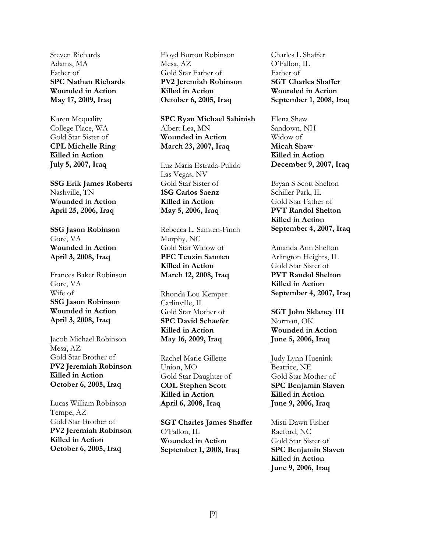Steven Richards Adams, MA Father of **SPC Nathan Richards Wounded in Action May 17, 2009, Iraq** 

Karen Mcquality College Place, WA Gold Star Sister of **CPL Michelle Ring Killed in Action July 5, 2007, Iraq** 

**SSG Erik James Roberts** Nashville, TN **Wounded in Action April 25, 2006, Iraq** 

**SSG Jason Robinson** Gore, VA **Wounded in Action April 3, 2008, Iraq** 

Frances Baker Robinson Gore, VA Wife of **SSG Jason Robinson Wounded in Action April 3, 2008, Iraq** 

Jacob Michael Robinson Mesa, AZ Gold Star Brother of **PV2 Jeremiah Robinson Killed in Action October 6, 2005, Iraq** 

Lucas William Robinson Tempe, AZ Gold Star Brother of **PV2 Jeremiah Robinson Killed in Action October 6, 2005, Iraq** 

Floyd Burton Robinson Mesa, AZ Gold Star Father of **PV2 Jeremiah Robinson Killed in Action October 6, 2005, Iraq** 

**SPC Ryan Michael Sabinish** Albert Lea, MN **Wounded in Action March 23, 2007, Iraq** 

Luz Maria Estrada-Pulido Las Vegas, NV Gold Star Sister of **1SG Carlos Saenz Killed in Action May 5, 2006, Iraq** 

Rebecca L. Samten-Finch Murphy, NC Gold Star Widow of **PFC Tenzin Samten Killed in Action March 12, 2008, Iraq** 

Rhonda Lou Kemper Carlinville, IL Gold Star Mother of **SPC David Schaefer Killed in Action May 16, 2009, Iraq** 

Rachel Marie Gillette Union, MO Gold Star Daughter of **COL Stephen Scott Killed in Action April 6, 2008, Iraq** 

**SGT Charles James Shaffer** O'Fallon, IL **Wounded in Action September 1, 2008, Iraq** 

Charles L Shaffer O'Fallon, IL Father of **SGT Charles Shaffer Wounded in Action September 1, 2008, Iraq** 

Elena Shaw Sandown, NH Widow of **Micah Shaw Killed in Action December 9, 2007, Iraq** 

Bryan S Scott Shelton Schiller Park, IL Gold Star Father of **PVT Randol Shelton Killed in Action September 4, 2007, Iraq** 

Amanda Ann Shelton Arlington Heights, IL Gold Star Sister of **PVT Randol Shelton Killed in Action September 4, 2007, Iraq** 

**SGT John Sklaney III** Norman, OK **Wounded in Action June 5, 2006, Iraq** 

Judy Lynn Huenink Beatrice, NE Gold Star Mother of **SPC Benjamin Slaven Killed in Action June 9, 2006, Iraq** 

Misti Dawn Fisher Raeford, NC Gold Star Sister of **SPC Benjamin Slaven Killed in Action June 9, 2006, Iraq**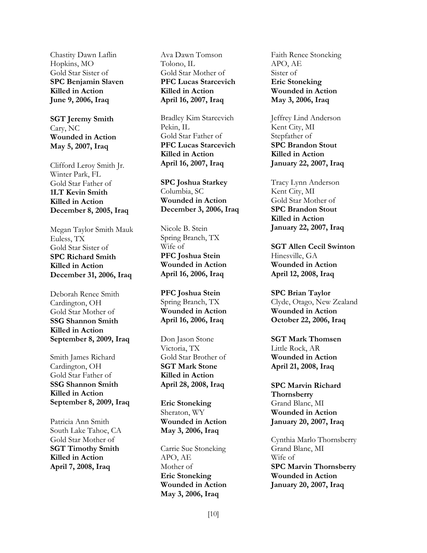Chastity Dawn Laflin Hopkins, MO Gold Star Sister of **SPC Benjamin Slaven Killed in Action June 9, 2006, Iraq** 

**SGT Jeremy Smith**  Cary, NC **Wounded in Action May 5, 2007, Iraq** 

Clifford Leroy Smith Jr. Winter Park, FL Gold Star Father of **1LT Kevin Smith Killed in Action December 8, 2005, Iraq** 

Megan Taylor Smith Mauk Euless, TX Gold Star Sister of **SPC Richard Smith Killed in Action December 31, 2006, Iraq** 

Deborah Renee Smith Cardington, OH Gold Star Mother of **SSG Shannon Smith Killed in Action September 8, 2009, Iraq**

Smith James Richard Cardington, OH Gold Star Father of **SSG Shannon Smith Killed in Action September 8, 2009, Iraq**

Patricia Ann Smith South Lake Tahoe, CA Gold Star Mother of **SGT Timothy Smith Killed in Action April 7, 2008, Iraq** 

Ava Dawn Tomson Tolono, IL Gold Star Mother of **PFC Lucas Starcevich Killed in Action April 16, 2007, Iraq** 

Bradley Kim Starcevich Pekin, IL Gold Star Father of **PFC Lucas Starcevich Killed in Action April 16, 2007, Iraq** 

**SPC Joshua Starkey**  Columbia, SC **Wounded in Action December 3, 2006, Iraq** 

Nicole B. Stein Spring Branch, TX Wife of **PFC Joshua Stein Wounded in Action April 16, 2006, Iraq** 

**PFC Joshua Stein** Spring Branch, TX **Wounded in Action April 16, 2006, Iraq** 

Don Jason Stone Victoria, TX Gold Star Brother of **SGT Mark Stone Killed in Action April 28, 2008, Iraq** 

**Eric Stoneking** Sheraton, WY **Wounded in Action May 3, 2006, Iraq** 

Carrie Sue Stoneking APO, AE Mother of **Eric Stoneking Wounded in Action May 3, 2006, Iraq** 

Faith Renee Stoneking APO, AE Sister of **Eric Stoneking Wounded in Action May 3, 2006, Iraq**

Jeffrey Lind Anderson Kent City, MI Stepfather of **SPC Brandon Stout Killed in Action January 22, 2007, Iraq** 

Tracy Lynn Anderson Kent City, MI Gold Star Mother of **SPC Brandon Stout Killed in Action January 22, 2007, Iraq** 

**SGT Allen Cecil Swinton** Hinesville, GA **Wounded in Action April 12, 2008, Iraq** 

**SPC Brian Taylor** Clyde, Otago, New Zealand **Wounded in Action October 22, 2006, Iraq**

**SGT Mark Thomsen** Little Rock, AR **Wounded in Action April 21, 2008, Iraq** 

**SPC Marvin Richard Thornsberry** Grand Blanc, MI **Wounded in Action January 20, 2007, Iraq**

Cynthia Marlo Thornsberry Grand Blanc, MI Wife of **SPC Marvin Thornsberry Wounded in Action January 20, 2007, Iraq**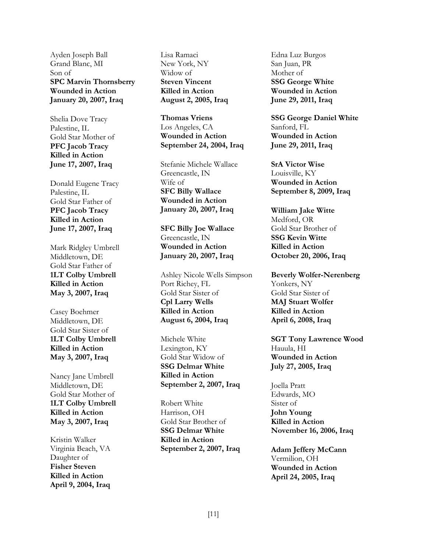Ayden Joseph Ball Grand Blanc, MI Son of **SPC Marvin Thornsberry Wounded in Action January 20, 2007, Iraq** 

Shelia Dove Tracy Palestine, IL Gold Star Mother of **PFC Jacob Tracy Killed in Action June 17, 2007, Iraq** 

Donald Eugene Tracy Palestine, IL Gold Star Father of **PFC Jacob Tracy Killed in Action June 17, 2007, Iraq** 

Mark Ridgley Umbrell Middletown, DE Gold Star Father of **1LT Colby Umbrell Killed in Action May 3, 2007, Iraq** 

Casey Boehmer Middletown, DE Gold Star Sister of **1LT Colby Umbrell Killed in Action May 3, 2007, Iraq** 

Nancy Jane Umbrell Middletown, DE Gold Star Mother of **1LT Colby Umbrell Killed in Action May 3, 2007, Iraq**

Kristin Walker Virginia Beach, VA Daughter of **Fisher Steven Killed in Action April 9, 2004, Iraq** Lisa Ramaci New York, NY Widow of **Steven Vincent Killed in Action August 2, 2005, Iraq** 

**Thomas Vriens** Los Angeles, CA **Wounded in Action September 24, 2004, Iraq** 

Stefanie Michele Wallace Greencastle, IN Wife of **SFC Billy Wallace Wounded in Action January 20, 2007, Iraq** 

**SFC Billy Joe Wallace** Greencastle, IN **Wounded in Action January 20, 2007, Iraq** 

Ashley Nicole Wells Simpson Port Richey, FL Gold Star Sister of **Cpl Larry Wells Killed in Action August 6, 2004, Iraq** 

Michele White Lexington, KY Gold Star Widow of **SSG Delmar White Killed in Action September 2, 2007, Iraq** 

Robert White Harrison, OH Gold Star Brother of **SSG Delmar White Killed in Action September 2, 2007, Iraq** 

Edna Luz Burgos San Juan, PR Mother of **SSG George White Wounded in Action June 29, 2011, Iraq**

**SSG George Daniel White** Sanford, FL **Wounded in Action June 29, 2011, Iraq** 

**SrA Victor Wise**  Louisville, KY **Wounded in Action September 8, 2009, Iraq** 

**William Jake Witte**  Medford, OR Gold Star Brother of **SSG Kevin Witte Killed in Action October 20, 2006, Iraq** 

**Beverly Wolfer-Nerenberg**  Yonkers, NY Gold Star Sister of **MAJ Stuart Wolfer Killed in Action April 6, 2008, Iraq** 

**SGT Tony Lawrence Wood**  Hauula, HI **Wounded in Action July 27, 2005, Iraq** 

Joella Pratt Edwards, MO Sister of **John Young Killed in Action November 16, 2006, Iraq** 

**Adam Jeffery McCann** Vermilion, OH **Wounded in Action April 24, 2005, Iraq**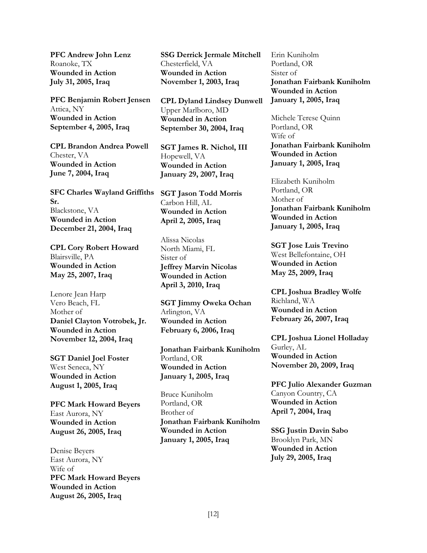**PFC Andrew John Lenz** Roanoke, TX **Wounded in Action July 31, 2005, Iraq** 

**PFC Benjamin Robert Jensen** Attica, NY **Wounded in Action September 4, 2005, Iraq** 

**CPL Brandon Andrea Powell** Chester, VA **Wounded in Action June 7, 2004, Iraq** 

**SFC Charles Wayland Griffiths Sr.** Blackstone, VA **Wounded in Action December 21, 2004, Iraq** 

**CPL Cory Robert Howard** Blairsville, PA **Wounded in Action May 25, 2007, Iraq** 

Lenore Jean Harp Vero Beach, FL Mother of **Daniel Clayton Votrobek, Jr. Wounded in Action November 12, 2004, Iraq** 

**SGT Daniel Joel Foster** West Seneca, NY **Wounded in Action August 1, 2005, Iraq** 

**PFC Mark Howard Beyers** East Aurora, NY **Wounded in Action August 26, 2005, Iraq** 

Denise Beyers East Aurora, NY Wife of **PFC Mark Howard Beyers Wounded in Action August 26, 2005, Iraq** 

**SSG Derrick Jermale Mitchell** Chesterfield, VA **Wounded in Action November 1, 2003, Iraq** 

**CPL Dyland Lindsey Dunwell** Upper Marlboro, MD **Wounded in Action September 30, 2004, Iraq** 

**SGT James R. Nichol, III** Hopewell, VA **Wounded in Action January 29, 2007, Iraq** 

**SGT Jason Todd Morris** Carbon Hill, AL **Wounded in Action April 2, 2005, Iraq** 

Alissa Nicolas North Miami, FL Sister of **Jeffrey Marvin Nicolas Wounded in Action April 3, 2010, Iraq** 

**SGT Jimmy Oweka Ochan** Arlington, VA **Wounded in Action February 6, 2006, Iraq** 

**Jonathan Fairbank Kuniholm**  Portland, OR **Wounded in Action January 1, 2005, Iraq**

Bruce Kuniholm Portland, OR Brother of **Jonathan Fairbank Kuniholm Wounded in Action January 1, 2005, Iraq**

Erin Kuniholm Portland, OR Sister of **Jonathan Fairbank Kuniholm Wounded in Action January 1, 2005, Iraq**

Michele Terese Quinn Portland, OR Wife of **Jonathan Fairbank Kuniholm Wounded in Action January 1, 2005, Iraq**

Elizabeth Kuniholm Portland, OR Mother of **Jonathan Fairbank Kuniholm Wounded in Action January 1, 2005, Iraq**

**SGT Jose Luis Trevino** West Bellefontaine, OH **Wounded in Action May 25, 2009, Iraq** 

**CPL Joshua Bradley Wolfe** Richland, WA **Wounded in Action February 26, 2007, Iraq** 

**CPL Joshua Lionel Holladay** Gurley, AL **Wounded in Action November 20, 2009, Iraq** 

**PFC Julio Alexander Guzman** Canyon Country, CA **Wounded in Action April 7, 2004, Iraq** 

**SSG Justin Davin Sabo** Brooklyn Park, MN **Wounded in Action July 29, 2005, Iraq**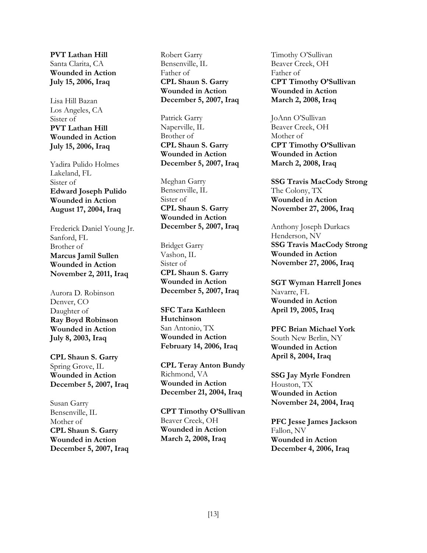**PVT Lathan Hill** Santa Clarita, CA **Wounded in Action July 15, 2006, Iraq** 

Lisa Hill Bazan Los Angeles, CA Sister of **PVT Lathan Hill Wounded in Action July 15, 2006, Iraq**

Yadira Pulido Holmes Lakeland, FL Sister of **Edward Joseph Pulido Wounded in Action August 17, 2004, Iraq** 

Frederick Daniel Young Jr. Sanford, FL Brother of **Marcus Jamil Sullen Wounded in Action November 2, 2011, Iraq** 

Aurora D. Robinson Denver, CO Daughter of **Ray Boyd Robinson Wounded in Action July 8, 2003, Iraq**

**CPL Shaun S. Garry**  Spring Grove, IL **Wounded in Action December 5, 2007, Iraq** 

Susan Garry Bensenville, IL Mother of **CPL Shaun S. Garry Wounded in Action December 5, 2007, Iraq**  Robert Garry Bensenville, IL Father of **CPL Shaun S. Garry Wounded in Action December 5, 2007, Iraq** 

Patrick Garry Naperville, IL Brother of **CPL Shaun S. Garry Wounded in Action December 5, 2007, Iraq**

Meghan Garry Bensenville, IL Sister of **CPL Shaun S. Garry Wounded in Action December 5, 2007, Iraq** 

Bridget Garry Vashon, IL Sister of **CPL Shaun S. Garry Wounded in Action December 5, 2007, Iraq** 

**SFC Tara Kathleen Hutchinson** San Antonio, TX **Wounded in Action February 14, 2006, Iraq** 

**CPL Teray Anton Bundy** Richmond, VA **Wounded in Action December 21, 2004, Iraq** 

**CPT Timothy O'Sullivan** Beaver Creek, OH **Wounded in Action March 2, 2008, Iraq** 

Timothy O'Sullivan Beaver Creek, OH Father of **CPT Timothy O'Sullivan Wounded in Action March 2, 2008, Iraq** 

JoAnn O'Sullivan Beaver Creek, OH Mother of **CPT Timothy O'Sullivan Wounded in Action March 2, 2008, Iraq** 

**SSG Travis MacCody Strong** The Colony, TX **Wounded in Action November 27, 2006, Iraq**

Anthony Joseph Durkacs Henderson, NV **SSG Travis MacCody Strong Wounded in Action November 27, 2006, Iraq**

**SGT Wyman Harrell Jones** Navarre, FL **Wounded in Action April 19, 2005, Iraq** 

**PFC Brian Michael York** South New Berlin, NY **Wounded in Action April 8, 2004, Iraq** 

**SSG Jay Myrle Fondren** Houston, TX **Wounded in Action November 24, 2004, Iraq** 

**PFC Jesse James Jackson**  Fallon, NV **Wounded in Action December 4, 2006, Iraq**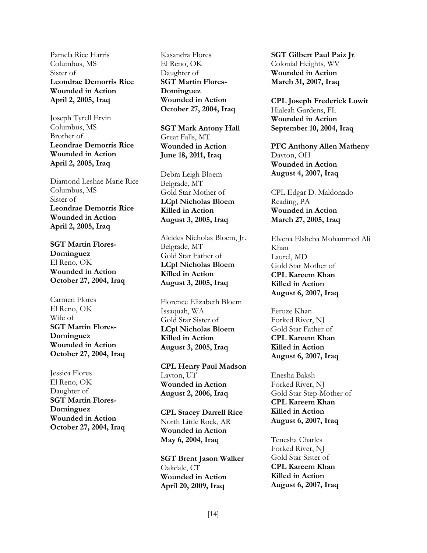Pamela Rice Harris Columbus, MS Sister of **Leondrae Demorris Rice Wounded in Action April 2, 2005, Iraq** 

Joseph Tyrell Ervin Columbus, MS Brother of **Leondrae Demorris Rice Wounded in Action April 2, 2005, Iraq** 

Diamond Leshae Marie Rice Columbus, MS Sister of **Leondrae Demorris Rice Wounded in Action April 2, 2005, Iraq** 

**SGT Martin Flores-Dominguez**  El Reno, OK **Wounded in Action October 27, 2004, Iraq** 

Carmen Flores El Reno, OK Wife of **SGT Martin Flores-Dominguez Wounded in Action October 27, 2004, Iraq** 

Jessica Flores El Reno, OK Daughter of **SGT Martin Flores-Dominguez Wounded in Action October 27, 2004, Iraq**  Kasandra Flores El Reno, OK Daughter of **SGT Martin Flores-Dominguez Wounded in Action October 27, 2004, Iraq** 

**SGT Mark Antony Hall** Great Falls, MT **Wounded in Action June 18, 2011, Iraq** 

Debra Leigh Bloem Belgrade, MT Gold Star Mother of **LCpl Nicholas Bloem Killed in Action August 3, 2005, Iraq**

Alcides Nicholas Bloem, Jr. Belgrade, MT Gold Star Father of **LCpl Nicholas Bloem Killed in Action August 3, 2005, Iraq** 

Florence Elizabeth Bloem Issaquah, WA Gold Star Sister of **LCpl Nicholas Bloem Killed in Action August 3, 2005, Iraq** 

**CPL Henry Paul Madson** Layton, UT **Wounded in Action August 2, 2006, Iraq** 

**CPL Stacey Darrell Rice**  North Little Rock, AR **Wounded in Action May 6, 2004, Iraq** 

**SGT Brent Jason Walker**  Oakdale, CT **Wounded in Action April 20, 2009, Iraq** 

**SGT Gilbert Paul Paiz Jr**. Colonial Heights, WV **Wounded in Action March 31, 2007, Iraq** 

**CPL Joseph Frederick Lowit** Hialeah Gardens, FL **Wounded in Action September 10, 2004, Iraq** 

**PFC Anthony Allen Matheny** Dayton, OH **Wounded in Action August 4, 2007, Iraq** 

CPL Edgar D. Maldonado Reading, PA **Wounded in Action March 27, 2005, Iraq** 

Elvena Elsheba Mohammed Ali Khan Laurel, MD Gold Star Mother of **CPL Kareem Khan Killed in Action August 6, 2007, Iraq** 

Feroze Khan Forked River, NJ Gold Star Father of **CPL Kareem Khan Killed in Action August 6, 2007, Iraq** 

Enesha Baksh Forked River, NJ Gold Star Step-Mother of **CPL Kareem Khan Killed in Action August 6, 2007, Iraq** 

Tenesha Charles Forked River, NJ Gold Star Sister of **CPL Kareem Khan Killed in Action August 6, 2007, Iraq**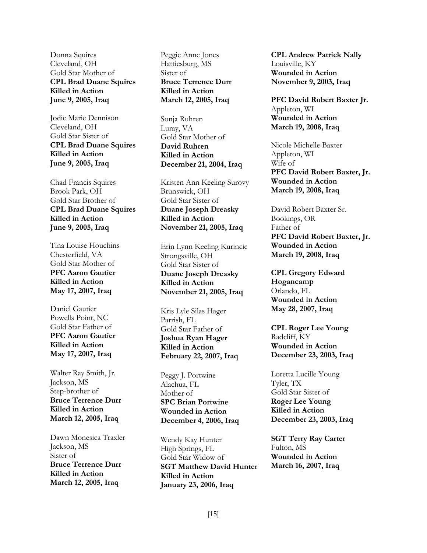Donna Squires Cleveland, OH Gold Star Mother of **CPL Brad Duane Squires Killed in Action June 9, 2005, Iraq** 

Jodie Marie Dennison Cleveland, OH Gold Star Sister of **CPL Brad Duane Squires Killed in Action June 9, 2005, Iraq** 

Chad Francis Squires Brook Park, OH Gold Star Brother of **CPL Brad Duane Squires Killed in Action June 9, 2005, Iraq** 

Tina Louise Houchins Chesterfield, VA Gold Star Mother of **PFC Aaron Gautier Killed in Action May 17, 2007, Iraq** 

Daniel Gautier Powells Point, NC Gold Star Father of **PFC Aaron Gautier Killed in Action May 17, 2007, Iraq** 

Walter Ray Smith, Jr. Jackson, MS Step-brother of **Bruce Terrence Durr Killed in Action March 12, 2005, Iraq** 

Dawn Monesica Traxler Jackson, MS Sister of **Bruce Terrence Durr Killed in Action March 12, 2005, Iraq** 

Peggie Anne Jones Hattiesburg, MS Sister of **Bruce Terrence Durr Killed in Action March 12, 2005, Iraq** 

Sonja Ruhren Luray, VA Gold Star Mother of **David Ruhren Killed in Action December 21, 2004, Iraq**

Kristen Ann Keeling Surovy Brunswick, OH Gold Star Sister of **Duane Joseph Dreasky Killed in Action November 21, 2005, Iraq** 

Erin Lynn Keeling Kurincic Strongsville, OH Gold Star Sister of **Duane Joseph Dreasky Killed in Action November 21, 2005, Iraq** 

Kris Lyle Silas Hager Parrish, FL Gold Star Father of **Joshua Ryan Hager Killed in Action February 22, 2007, Iraq** 

Peggy J. Portwine Alachua, FL Mother of **SPC Brian Portwine Wounded in Action December 4, 2006, Iraq** 

Wendy Kay Hunter High Springs, FL Gold Star Widow of **SGT Matthew David Hunter Killed in Action January 23, 2006, Iraq** 

**CPL Andrew Patrick Nally**  Louisville, KY **Wounded in Action November 9, 2003, Iraq** 

**PFC David Robert Baxter Jr.** Appleton, WI **Wounded in Action March 19, 2008, Iraq** 

Nicole Michelle Baxter Appleton, WI Wife of **PFC David Robert Baxter, Jr. Wounded in Action March 19, 2008, Iraq** 

David Robert Baxter Sr. Bookings, OR Father of **PFC David Robert Baxter, Jr. Wounded in Action March 19, 2008, Iraq** 

**CPL Gregory Edward Hogancamp** Orlando, FL **Wounded in Action May 28, 2007, Iraq** 

**CPL Roger Lee Young** Radcliff, KY **Wounded in Action December 23, 2003, Iraq** 

Loretta Lucille Young Tyler, TX Gold Star Sister of **Roger Lee Young Killed in Action December 23, 2003, Iraq** 

**SGT Terry Ray Carter** Fulton, MS **Wounded in Action March 16, 2007, Iraq**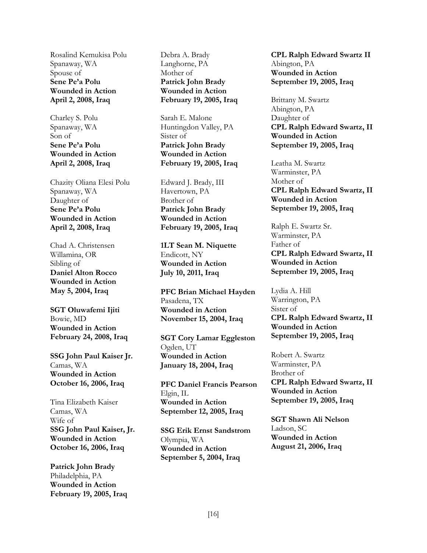Rosalind Kemukisa Polu Spanaway, WA Spouse of **Sene Pe'a Polu Wounded in Action April 2, 2008, Iraq** 

Charley S. Polu Spanaway, WA Son of **Sene Pe'a Polu Wounded in Action April 2, 2008, Iraq** 

Chazity Oliana Elesi Polu Spanaway, WA Daughter of **Sene Pe'a Polu Wounded in Action April 2, 2008, Iraq**

Chad A. Christensen Willamina, OR Sibling of **Daniel Alton Rocco Wounded in Action May 5, 2004, Iraq** 

**SGT Oluwafemi Ijiti** Bowie, MD **Wounded in Action February 24, 2008, Iraq** 

**SSG John Paul Kaiser Jr.** Camas, WA **Wounded in Action October 16, 2006, Iraq** 

Tina Elizabeth Kaiser Camas, WA Wife of **SSG John Paul Kaiser, Jr. Wounded in Action October 16, 2006, Iraq** 

**Patrick John Brady** Philadelphia, PA **Wounded in Action February 19, 2005, Iraq**  Debra A. Brady Langhorne, PA Mother of **Patrick John Brady Wounded in Action February 19, 2005, Iraq** 

Sarah E. Malone Huntingdon Valley, PA Sister of **Patrick John Brady Wounded in Action February 19, 2005, Iraq** 

Edward J. Brady, III Havertown, PA Brother of **Patrick John Brady Wounded in Action February 19, 2005, Iraq** 

**1LT Sean M. Niquette** Endicott, NY **Wounded in Action July 10, 2011, Iraq** 

**PFC Brian Michael Hayden** Pasadena, TX **Wounded in Action November 15, 2004, Iraq** 

**SGT Cory Lamar Eggleston** Ogden, UT **Wounded in Action January 18, 2004, Iraq** 

**PFC Daniel Francis Pearson** Elgin, IL **Wounded in Action September 12, 2005, Iraq** 

**SSG Erik Ernst Sandstrom** Olympia, WA **Wounded in Action September 5, 2004, Iraq** 

**CPL Ralph Edward Swartz II** Abington, PA **Wounded in Action September 19, 2005, Iraq**

Brittany M. Swartz Abington, PA Daughter of **CPL Ralph Edward Swartz, II Wounded in Action September 19, 2005, Iraq** 

Leatha M. Swartz Warminster, PA Mother of **CPL Ralph Edward Swartz, II Wounded in Action September 19, 2005, Iraq**

Ralph E. Swartz Sr. Warminster, PA Father of **CPL Ralph Edward Swartz, II Wounded in Action September 19, 2005, Iraq** 

Lydia A. Hill Warrington, PA Sister of **CPL Ralph Edward Swartz, II Wounded in Action September 19, 2005, Iraq** 

Robert A. Swartz Warminster, PA Brother of **CPL Ralph Edward Swartz, II Wounded in Action September 19, 2005, Iraq** 

**SGT Shawn Ali Nelson** Ladson, SC **Wounded in Action August 21, 2006, Iraq**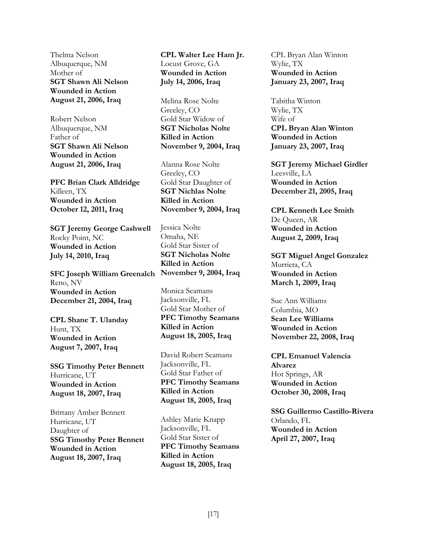Thelma Nelson Albuquerque, NM Mother of **SGT Shawn Ali Nelson Wounded in Action August 21, 2006, Iraq** 

Robert Nelson Albuquerque, NM Father of **SGT Shawn Ali Nelson Wounded in Action August 21, 2006, Iraq**

**PFC Brian Clark Alldridge** Killeen, TX **Wounded in Action October 12, 2011, Iraq** 

**SGT Jeremy George Cashwell** Rocky Point, NC **Wounded in Action July 14, 2010, Iraq** 

**SFC Joseph William Greenalch November 9, 2004, Iraq** Reno, NV **Wounded in Action December 21, 2004, Iraq** 

**CPL Shane T. Ulanday** Hunt, TX **Wounded in Action August 7, 2007, Iraq** 

**SSG Timothy Peter Bennett** Hurricane, UT **Wounded in Action August 18, 2007, Iraq** 

Brittany Amber Bennett Hurricane, UT Daughter of **SSG Timothy Peter Bennett Wounded in Action August 18, 2007, Iraq** 

**CPL Walter Lee Ham Jr.** Locust Grove, GA **Wounded in Action July 14, 2006, Iraq** 

Melina Rose Nolte Greeley, CO Gold Star Widow of **SGT Nicholas Nolte Killed in Action November 9, 2004, Iraq** 

Alanna Rose Nolte Greeley, CO Gold Star Daughter of **SGT Nichlas Nolte Killed in Action November 9, 2004, Iraq** 

Jessica Nolte Omaha, NE Gold Star Sister of **SGT Nicholas Nolte Killed in Action** 

Monica Seamans Jacksonville, FL Gold Star Mother of **PFC Timothy Seamans Killed in Action August 18, 2005, Iraq** 

David Robert Seamans Jacksonville, FL Gold Star Father of **PFC Timothy Seamans Killed in Action August 18, 2005, Iraq** 

Ashley Marie Knapp Jacksonville, FL Gold Star Sister of **PFC Timothy Seamans Killed in Action August 18, 2005, Iraq** 

CPL Bryan Alan Winton Wylie, TX **Wounded in Action January 23, 2007, Iraq** 

Tabitha Winton Wylie, TX Wife of **CPL Bryan Alan Winton Wounded in Action January 23, 2007, Iraq**

**SGT Jeremy Michael Girdler** Leesville, LA **Wounded in Action December 21, 2005, Iraq** 

**CPL Kenneth Lee Smith**  De Queen, AR **Wounded in Action August 2, 2009, Iraq** 

**SGT Miguel Angel Gonzalez** Murrieta, CA **Wounded in Action March 1, 2009, Iraq**

Sue Ann Williams Columbia, MO **Sean Lee Williams Wounded in Action November 22, 2008, Iraq** 

**CPL Emanuel Valencia Alvarez** Hot Springs, AR **Wounded in Action October 30, 2008, Iraq** 

**SSG Guillermo Castillo-Rivera** Orlando, FL **Wounded in Action April 27, 2007, Iraq**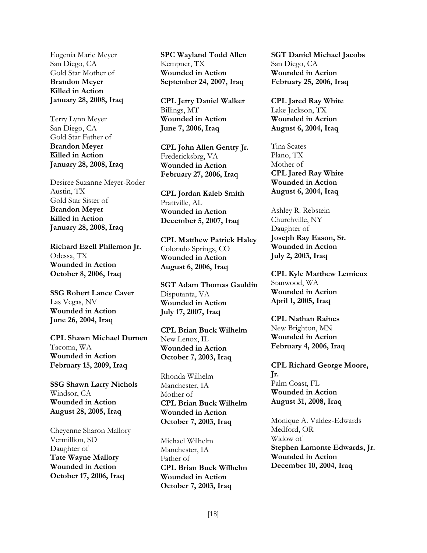Eugenia Marie Meyer San Diego, CA Gold Star Mother of **Brandon Meyer Killed in Action January 28, 2008, Iraq** 

Terry Lynn Meyer San Diego, CA Gold Star Father of **Brandon Meyer Killed in Action January 28, 2008, Iraq** 

Desiree Suzanne Meyer-Roder Austin, TX Gold Star Sister of **Brandon Meyer Killed in Action January 28, 2008, Iraq** 

**Richard Ezell Philemon Jr.** Odessa, TX **Wounded in Action October 8, 2006, Iraq** 

**SSG Robert Lance Caver** Las Vegas, NV **Wounded in Action June 26, 2004, Iraq**

**CPL Shawn Michael Durnen** Tacoma, WA **Wounded in Action February 15, 2009, Iraq** 

**SSG Shawn Larry Nichols** Windsor, CA **Wounded in Action August 28, 2005, Iraq** 

Cheyenne Sharon Mallory Vermillion, SD Daughter of **Tate Wayne Mallory Wounded in Action October 17, 2006, Iraq** 

**SPC Wayland Todd Allen** Kempner, TX **Wounded in Action September 24, 2007, Iraq** 

**CPL Jerry Daniel Walker** Billings, MT **Wounded in Action June 7, 2006, Iraq** 

**CPL John Allen Gentry Jr.** Fredericksbrg, VA **Wounded in Action February 27, 2006, Iraq** 

**CPL Jordan Kaleb Smith** Prattville, AL **Wounded in Action December 5, 2007, Iraq** 

**CPL Matthew Patrick Haley** Colorado Springs, CO **Wounded in Action August 6, 2006, Iraq** 

**SGT Adam Thomas Gauldin** Disputanta, VA **Wounded in Action July 17, 2007, Iraq**

**CPL Brian Buck Wilhelm** New Lenox, IL **Wounded in Action October 7, 2003, Iraq** 

Rhonda Wilhelm Manchester, IA Mother of **CPL Brian Buck Wilhelm Wounded in Action October 7, 2003, Iraq** 

Michael Wilhelm Manchester, IA Father of **CPL Brian Buck Wilhelm Wounded in Action October 7, 2003, Iraq** 

**SGT Daniel Michael Jacobs** San Diego, CA **Wounded in Action February 25, 2006, Iraq** 

**CPL Jared Ray White** Lake Jackson, TX **Wounded in Action August 6, 2004, Iraq**

Tina Scates Plano, TX Mother of **CPL Jared Ray White Wounded in Action August 6, 2004, Iraq** 

Ashley R. Rebstein Churchville, NY Daughter of **Joseph Ray Eason, Sr. Wounded in Action July 2, 2003, Iraq** 

**CPL Kyle Matthew Lemieux** Stanwood, WA **Wounded in Action April 1, 2005, Iraq** 

**CPL Nathan Raines** New Brighton, MN **Wounded in Action February 4, 2006, Iraq** 

**CPL Richard George Moore, Jr.** Palm Coast, FL **Wounded in Action August 31, 2008, Iraq** 

Monique A. Valdez-Edwards Medford, OR Widow of **Stephen Lamonte Edwards, Jr. Wounded in Action December 10, 2004, Iraq**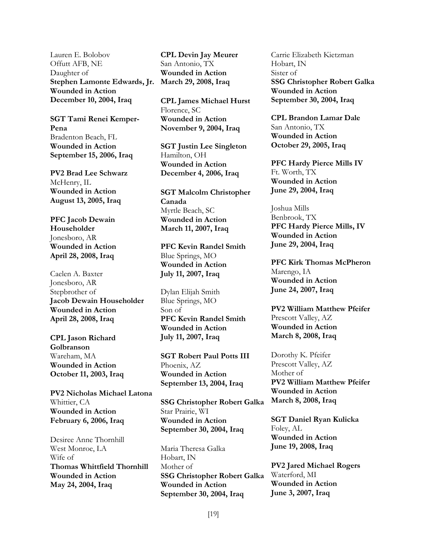Lauren E. Bolobov Offutt AFB, NE Daughter of **Stephen Lamonte Edwards, Jr. March 29, 2008, Iraq Wounded in Action December 10, 2004, Iraq** 

**SGT Tami Renei Kemper-Pena** Bradenton Beach, FL **Wounded in Action September 15, 2006, Iraq** 

**PV2 Brad Lee Schwarz** McHenry, IL **Wounded in Action August 13, 2005, Iraq** 

**PFC Jacob Dewain Householder** Jonesboro, AR **Wounded in Action April 28, 2008, Iraq**

Caelen A. Baxter Jonesboro, AR Stepbrother of **Jacob Dewain Householder Wounded in Action April 28, 2008, Iraq** 

**CPL Jason Richard Golbranson** Wareham, MA **Wounded in Action October 11, 2003, Iraq** 

**PV2 Nicholas Michael Latona** Whittier, CA **Wounded in Action February 6, 2006, Iraq** 

Desiree Anne Thornhill West Monroe, LA Wife of **Thomas Whittfield Thornhill Wounded in Action May 24, 2004, Iraq** 

**CPL Devin Jay Meurer** San Antonio, TX **Wounded in Action** 

**CPL James Michael Hurst** Florence, SC **Wounded in Action November 9, 2004, Iraq** 

**SGT Justin Lee Singleton** Hamilton, OH **Wounded in Action December 4, 2006, Iraq** 

**SGT Malcolm Christopher Canada** Myrtle Beach, SC **Wounded in Action March 11, 2007, Iraq** 

**PFC Kevin Randel Smith** Blue Springs, MO **Wounded in Action July 11, 2007, Iraq**

Dylan Elijah Smith Blue Springs, MO Son of **PFC Kevin Randel Smith Wounded in Action July 11, 2007, Iraq** 

**SGT Robert Paul Potts III** Phoenix, AZ **Wounded in Action September 13, 2004, Iraq** 

**SSG Christopher Robert Galka** Star Prairie, WI **Wounded in Action September 30, 2004, Iraq** 

Maria Theresa Galka Hobart, IN Mother of **SSG Christopher Robert Galka Wounded in Action September 30, 2004, Iraq** 

Carrie Elizabeth Kietzman Hobart, IN Sister of **SSG Christopher Robert Galka Wounded in Action September 30, 2004, Iraq** 

**CPL Brandon Lamar Dale** San Antonio, TX **Wounded in Action October 29, 2005, Iraq**

**PFC Hardy Pierce Mills IV** Ft. Worth, TX **Wounded in Action June 29, 2004, Iraq** 

Joshua Mills Benbrook, TX **PFC Hardy Pierce Mills, IV Wounded in Action June 29, 2004, Iraq**

**PFC Kirk Thomas McPheron** Marengo, IA **Wounded in Action June 24, 2007, Iraq** 

**PV2 William Matthew Pfeifer** Prescott Valley, AZ **Wounded in Action March 8, 2008, Iraq** 

Dorothy K. Pfeifer Prescott Valley, AZ Mother of **PV2 William Matthew Pfeifer Wounded in Action March 8, 2008, Iraq** 

**SGT Daniel Ryan Kulicka** Foley, AL **Wounded in Action June 19, 2008, Iraq** 

**PV2 Jared Michael Rogers** Waterford, MI **Wounded in Action June 3, 2007, Iraq**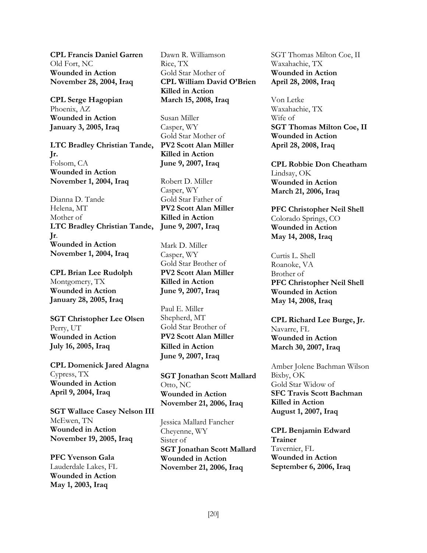**CPL Francis Daniel Garren** Old Fort, NC **Wounded in Action November 28, 2004, Iraq**

**CPL Serge Hagopian** Phoenix, AZ **Wounded in Action January 3, 2005, Iraq**

**LTC Bradley Christian Tande, Jr.** Folsom, CA **Wounded in Action November 1, 2004, Iraq**

Dianna D. Tande Helena, MT Mother of **LTC Bradley Christian Tande, Jr**. **Wounded in Action November 1, 2004, Iraq** 

**CPL Brian Lee Rudolph** Montgomery, TX **Wounded in Action January 28, 2005, Iraq** 

**SGT Christopher Lee Olsen** Perry, UT **Wounded in Action July 16, 2005, Iraq** 

**CPL Domenick Jared Alagna** Cypress, TX **Wounded in Action April 9, 2004, Iraq** 

**SGT Wallace Casey Nelson III** McEwen, TN **Wounded in Action November 19, 2005, Iraq** 

**PFC Yvenson Gala**  Lauderdale Lakes, FL **Wounded in Action May 1, 2003, Iraq**

Dawn R. Williamson Rice, TX Gold Star Mother of **CPL William David O'Brien Killed in Action March 15, 2008, Iraq** 

Susan Miller Casper, WY Gold Star Mother of **PV2 Scott Alan Miller Killed in Action June 9, 2007, Iraq**

Robert D. Miller Casper, WY Gold Star Father of **PV2 Scott Alan Miller Killed in Action June 9, 2007, Iraq** 

Mark D. Miller Casper, WY Gold Star Brother of **PV2 Scott Alan Miller Killed in Action June 9, 2007, Iraq** 

Paul E. Miller Shepherd, MT Gold Star Brother of **PV2 Scott Alan Miller Killed in Action June 9, 2007, Iraq**

**SGT Jonathan Scott Mallard** Otto, NC **Wounded in Action November 21, 2006, Iraq** 

Jessica Mallard Fancher Cheyenne, WY Sister of **SGT Jonathan Scott Mallard Wounded in Action November 21, 2006, Iraq**

SGT Thomas Milton Coe, II Waxahachie, TX **Wounded in Action April 28, 2008, Iraq**

Von Letke Waxahachie, TX Wife of **SGT Thomas Milton Coe, II Wounded in Action April 28, 2008, Iraq** 

**CPL Robbie Don Cheatham** Lindsay, OK **Wounded in Action March 21, 2006, Iraq** 

**PFC Christopher Neil Shell** Colorado Springs, CO **Wounded in Action May 14, 2008, Iraq** 

Curtis L. Shell Roanoke, VA Brother of **PFC Christopher Neil Shell Wounded in Action May 14, 2008, Iraq** 

**CPL Richard Lee Burge, Jr.** Navarre, FL **Wounded in Action March 30, 2007, Iraq** 

Amber Jolene Bachman Wilson Bixby, OK Gold Star Widow of **SFC Travis Scott Bachman Killed in Action August 1, 2007, Iraq** 

**CPL Benjamin Edward Trainer** Tavernier, FL **Wounded in Action September 6, 2006, Iraq**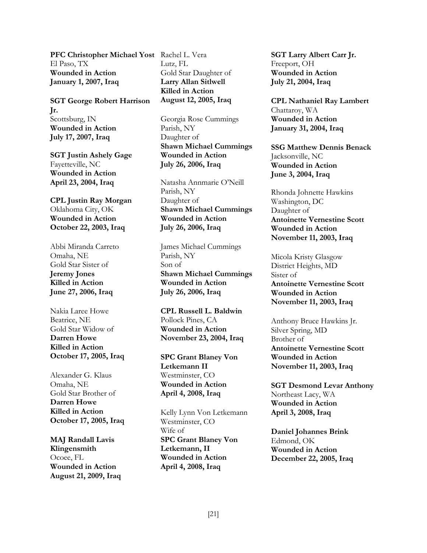**PFC Christopher Michael Yost** Rachel L. Vera El Paso, TX **Wounded in Action January 1, 2007, Iraq** 

**SGT George Robert Harrison Jr.** Scottsburg, IN **Wounded in Action July 17, 2007, Iraq** 

**SGT Justin Ashely Gage**  Fayetteville, NC **Wounded in Action April 23, 2004, Iraq**

**CPL Justin Ray Morgan**  Oklahoma City, OK **Wounded in Action October 22, 2003, Iraq** 

Abbi Miranda Carreto Omaha, NE Gold Star Sister of **Jeremy Jones Killed in Action June 27, 2006, Iraq** 

Nakia Laree Howe Beatrice, NE Gold Star Widow of **Darren Howe Killed in Action October 17, 2005, Iraq** 

Alexander G. Klaus Omaha, NE Gold Star Brother of **Darren Howe Killed in Action October 17, 2005, Iraq** 

**MAJ Randall Lavis Klingensmith**  Ocoee, FL **Wounded in Action August 21, 2009, Iraq**  Lutz, FL Gold Star Daughter of **Larry Allan Sitlwell Killed in Action August 12, 2005, Iraq** 

Georgia Rose Cummings Parish, NY Daughter of **Shawn Michael Cummings Wounded in Action July 26, 2006, Iraq**

Natasha Annmarie O'Neill Parish, NY Daughter of **Shawn Michael Cummings Wounded in Action July 26, 2006, Iraq** 

James Michael Cummings Parish, NY Son of **Shawn Michael Cummings Wounded in Action July 26, 2006, Iraq** 

**CPL Russell L. Baldwin** Pollock Pines, CA **Wounded in Action November 23, 2004, Iraq** 

**SPC Grant Blaney Von Letkemann II** Westminster, CO **Wounded in Action April 4, 2008, Iraq** 

Kelly Lynn Von Letkemann Westminster, CO Wife of **SPC Grant Blaney Von Letkemann, II Wounded in Action April 4, 2008, Iraq** 

**SGT Larry Albert Carr Jr.**  Freeport, OH **Wounded in Action July 21, 2004, Iraq** 

**CPL Nathaniel Ray Lambert** Chattaroy, WA **Wounded in Action January 31, 2004, Iraq** 

**SSG Matthew Dennis Benack**  Jacksonville, NC **Wounded in Action June 3, 2004, Iraq**

Rhonda Johnette Hawkins Washington, DC Daughter of **Antoinette Vernestine Scott Wounded in Action November 11, 2003, Iraq** 

Micola Kristy Glasgow District Heights, MD Sister of **Antoinette Vernestine Scott Wounded in Action November 11, 2003, Iraq** 

Anthony Bruce Hawkins Jr. Silver Spring, MD Brother of **Antoinette Vernestine Scott Wounded in Action November 11, 2003, Iraq** 

**SGT Desmond Levar Anthony**  Northeast Lacy, WA **Wounded in Action April 3, 2008, Iraq** 

**Daniel Johannes Brink** Edmond, OK **Wounded in Action December 22, 2005, Iraq**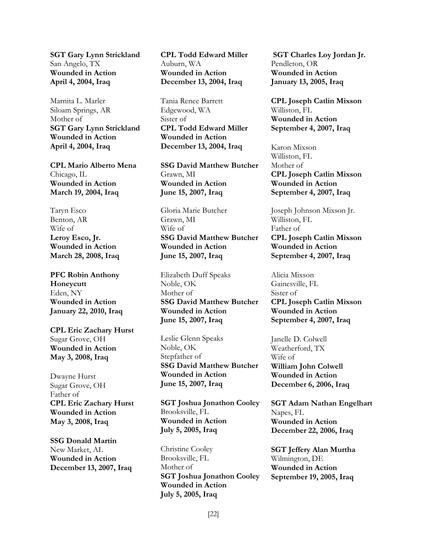**SGT Gary Lynn Strickland** San Angelo, TX **Wounded in Action April 4, 2004, Iraq** 

Marnita L. Marler Siloam Springs, AR Mother of **SGT Gary Lynn Strickland Wounded in Action April 4, 2004, Iraq** 

**CPL Mario Alberto Mena**  Chicago, IL **Wounded in Action March 19, 2004, Iraq**

Taryn Esco Benton, AR Wife of **Leroy Esco, Jr. Wounded in Action March 28, 2008, Iraq** 

**PFC Robin Anthony Honeycutt** Eden, NY **Wounded in Action January 22, 2010, Iraq** 

**CPL Eric Zachary Hurst** Sugar Grove, OH **Wounded in Action May 3, 2008, Iraq** 

Dwayne Hurst Sugar Grove, OH Father of **CPL Eric Zachary Hurst Wounded in Action May 3, 2008, Iraq** 

**SSG Donald Martin** New Market, AL **Wounded in Action December 13, 2007, Iraq** **CPL Todd Edward Miller** Auburn, WA **Wounded in Action December 13, 2004, Iraq** 

Tania Renee Barrett Edgewood, WA Sister of **CPL Todd Edward Miller Wounded in Action December 13, 2004, Iraq**

**SSG David Matthew Butcher** Grawn, MI **Wounded in Action June 15, 2007, Iraq**

Gloria Marie Butcher Grawn, MI Wife of **SSG David Matthew Butcher Wounded in Action June 15, 2007, Iraq** 

Elizabeth Duff Speaks Noble, OK Mother of **SSG David Matthew Butcher Wounded in Action June 15, 2007, Iraq** 

Leslie Glenn Speaks Noble, OK Stepfather of **SSG David Matthew Butcher Wounded in Action June 15, 2007, Iraq** 

**SGT Joshua Jonathon Cooley** Brooksville, FL **Wounded in Action July 5, 2005, Iraq** 

Christine Cooley Brooksville, FL Mother of **SGT Joshua Jonathon Cooley Wounded in Action July 5, 2005, Iraq**

**SGT Charles Loy Jordan Jr.** Pendleton, OR **Wounded in Action January 13, 2005, Iraq** 

**CPL Joseph Catlin Mixson** Williston, FL **Wounded in Action September 4, 2007, Iraq** 

Karon Mixson Williston, FL Mother of **CPL Joseph Catlin Mixson Wounded in Action September 4, 2007, Iraq**

Joseph Johnson Mixson Jr. Williston, FL Father of **CPL Joseph Catlin Mixson Wounded in Action September 4, 2007, Iraq** 

Alicia Mixson Gainesville, FL Sister of **CPL Joseph Catlin Mixson Wounded in Action September 4, 2007, Iraq** 

Janelle D. Colwell Weatherford, TX Wife of **William John Colwell Wounded in Action December 6, 2006, Iraq** 

**SGT Adam Nathan Engelhart**  Napes, FL **Wounded in Action December 22, 2006, Iraq** 

**SGT Jeffery Alan Murtha**  Wilmington, DE **Wounded in Action September 19, 2005, Iraq**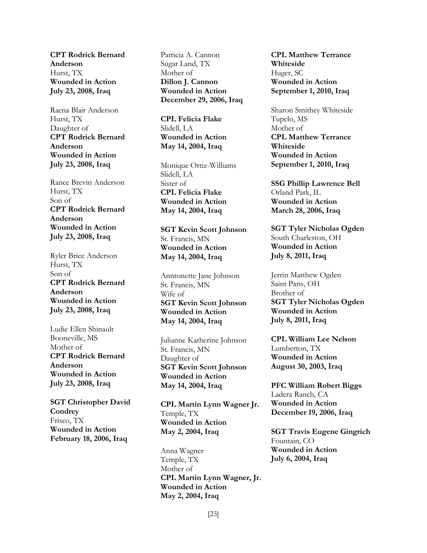**CPT Rodrick Bernard Anderson** Hurst, TX **Wounded in Action July 23, 2008, Iraq** 

Raena Blair Anderson Hurst, TX Daughter of **CPT Rodrick Bernard Anderson Wounded in Action July 23, 2008, Iraq**

Rance Brevin Anderson Hurst, TX Son of **CPT Rodrick Bernard Anderson Wounded in Action July 23, 2008, Iraq** 

Ryler Brice Anderson Hurst, TX Son of **CPT Rodrick Bernard Anderson Wounded in Action July 23, 2008, Iraq** 

Ludie Ellen Shinault Booneville, MS Mother of **CPT Rodrick Bernard Anderson Wounded in Action July 23, 2008, Iraq** 

**SGT Christopher David Condrey**  Frisco, TX **Wounded in Action February 18, 2006, Iraq**

Patricia A. Cannon Sugar Land, TX Mother of **Dillon J. Cannon Wounded in Action December 29, 2006, Iraq** 

**CPL Felicia Flake** Slidell, LA **Wounded in Action May 14, 2004, Iraq** 

Monique Ortiz-Williams Slidell, LA Sister of **CPL Felicia Flake Wounded in Action May 14, 2004, Iraq** 

**SGT Kevin Scott Johnson** St. Francis, MN **Wounded in Action May 14, 2004, Iraq** 

Anntonette Jane Johnson St. Francis, MN Wife of **SGT Kevin Scott Johnson Wounded in Action May 14, 2004, Iraq** 

Julianne Katherine Johnson St. Francis, MN Daughter of **SGT Kevin Scott Johnson Wounded in Action May 14, 2004, Iraq** 

**CPL Martin Lynn Wagner Jr.** Temple, TX **Wounded in Action May 2, 2004, Iraq** 

Anna Wagner Temple, TX Mother of **CPL Martin Lynn Wagner, Jr. Wounded in Action May 2, 2004, Iraq** 

**CPL Matthew Terrance Whiteside** Huger, SC **Wounded in Action September 1, 2010, Iraq** 

Sharon Smithey Whiteside Tupelo, MS Mother of **CPL Matthew Terrance Whiteside Wounded in Action September 1, 2010, Iraq** 

**SSG Phillip Lawrence Bell** Orland Park, IL **Wounded in Action March 28, 2006, Iraq**

**SGT Tyler Nicholas Ogden** South Charleston, OH **Wounded in Action July 8, 2011, Iraq** 

Jerrin Matthew Ogden Saint Paris, OH Brother of **SGT Tyler Nicholas Ogden Wounded in Action July 8, 2011, Iraq** 

**CPL William Lee Nelson** Lumberton, TX **Wounded in Action August 30, 2003, Iraq** 

**PFC William Robert Biggs** Ladera Ranch, CA **Wounded in Action December 19, 2006, Iraq** 

**SGT Travis Eugene Gingrich** Fountain, CO **Wounded in Action July 6, 2004, Iraq**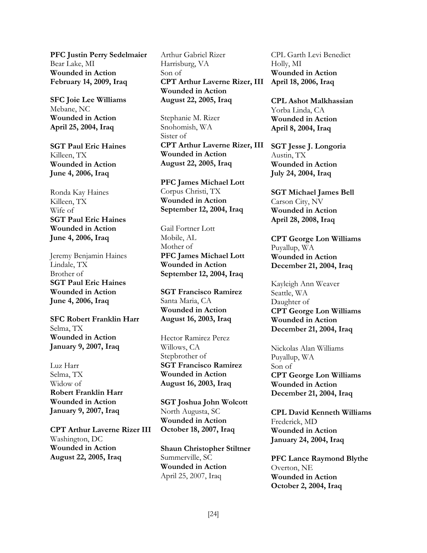**PFC Justin Perry Sedelmaier** Bear Lake, MI **Wounded in Action February 14, 2009, Iraq** 

**SFC Joie Lee Williams** Mebane, NC **Wounded in Action April 25, 2004, Iraq** 

**SGT Paul Eric Haines** Killeen, TX **Wounded in Action June 4, 2006, Iraq** 

Ronda Kay Haines Killeen, TX Wife of **SGT Paul Eric Haines Wounded in Action June 4, 2006, Iraq** 

Jeremy Benjamin Haines Lindale, TX Brother of **SGT Paul Eric Haines Wounded in Action June 4, 2006, Iraq**

**SFC Robert Franklin Harr** Selma, TX **Wounded in Action January 9, 2007, Iraq**

Luz Harr Selma, TX Widow of **Robert Franklin Harr Wounded in Action January 9, 2007, Iraq** 

**CPT Arthur Laverne Rizer III** Washington, DC **Wounded in Action August 22, 2005, Iraq** 

Arthur Gabriel Rizer Harrisburg, VA Son of **CPT Arthur Laverne Rizer, III Wounded in Action August 22, 2005, Iraq** 

Stephanie M. Rizer Snohomish, WA Sister of **CPT Arthur Laverne Rizer, III Wounded in Action August 22, 2005, Iraq** 

**PFC James Michael Lott** Corpus Christi, TX **Wounded in Action September 12, 2004, Iraq** 

Gail Fortner Lott Mobile, AL Mother of **PFC James Michael Lott Wounded in Action September 12, 2004, Iraq**

**SGT Francisco Ramirez** Santa Maria, CA **Wounded in Action August 16, 2003, Iraq** 

Hector Ramirez Perez Willows, CA Stepbrother of **SGT Francisco Ramirez Wounded in Action August 16, 2003, Iraq** 

**SGT Joshua John Wolcott** North Augusta, SC **Wounded in Action October 18, 2007, Iraq** 

**Shaun Christopher Stiltner** Summerville, SC **Wounded in Action**  April 25, 2007, Iraq

CPL Garth Levi Benedict Holly, MI **Wounded in Action April 18, 2006, Iraq** 

**CPL Ashot Malkhassian** Yorba Linda, CA **Wounded in Action April 8, 2004, Iraq** 

**SGT Jesse J. Longoria** Austin, TX **Wounded in Action July 24, 2004, Iraq** 

**SGT Michael James Bell** Carson City, NV **Wounded in Action April 28, 2008, Iraq** 

**CPT George Lon Williams** Puyallup, WA **Wounded in Action December 21, 2004, Iraq**

Kayleigh Ann Weaver Seattle, WA Daughter of **CPT George Lon Williams Wounded in Action December 21, 2004, Iraq** 

Nickolas Alan Williams Puyallup, WA Son of **CPT George Lon Williams Wounded in Action December 21, 2004, Iraq** 

**CPL David Kenneth Williams** Frederick, MD **Wounded in Action January 24, 2004, Iraq** 

**PFC Lance Raymond Blythe** Overton, NE **Wounded in Action October 2, 2004, Iraq**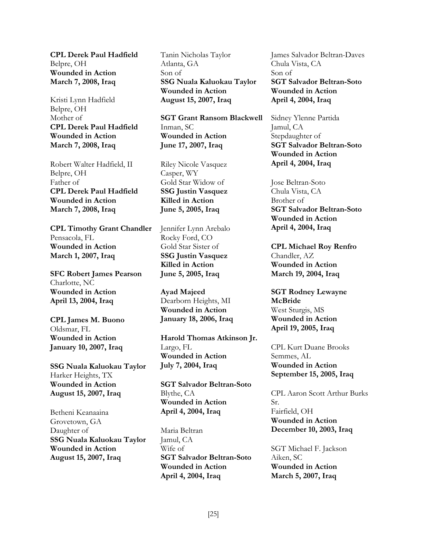**CPL Derek Paul Hadfield** Belpre, OH **Wounded in Action March 7, 2008, Iraq** 

Kristi Lynn Hadfield Belpre, OH Mother of **CPL Derek Paul Hadfield Wounded in Action March 7, 2008, Iraq** 

Robert Walter Hadfield, II Belpre, OH Father of **CPL Derek Paul Hadfield Wounded in Action March 7, 2008, Iraq** 

**CPL Timothy Grant Chandler** Pensacola, FL **Wounded in Action March 1, 2007, Iraq**

**SFC Robert James Pearson** Charlotte, NC **Wounded in Action April 13, 2004, Iraq** 

**CPL James M. Buono** Oldsmar, FL **Wounded in Action January 10, 2007, Iraq** 

**SSG Nuala Kaluokau Taylor** Harker Heights, TX **Wounded in Action August 15, 2007, Iraq** 

Betheni Keanaaina Grovetown, GA Daughter of **SSG Nuala Kaluokau Taylor Wounded in Action August 15, 2007, Iraq** 

Tanin Nicholas Taylor Atlanta, GA Son of **SSG Nuala Kaluokau Taylor Wounded in Action August 15, 2007, Iraq** 

**SGT Grant Ransom Blackwell** Inman, SC **Wounded in Action June 17, 2007, Iraq** 

Riley Nicole Vasquez Casper, WY Gold Star Widow of **SSG Justin Vasquez Killed in Action June 5, 2005, Iraq** 

Jennifer Lynn Arebalo Rocky Ford, CO Gold Star Sister of **SSG Justin Vasquez Killed in Action June 5, 2005, Iraq**

**Ayad Majeed** Dearborn Heights, MI **Wounded in Action January 18, 2006, Iraq** 

**Harold Thomas Atkinson Jr.** Largo, FL **Wounded in Action July 7, 2004, Iraq** 

**SGT Salvador Beltran-Soto** Blythe, CA **Wounded in Action April 4, 2004, Iraq** 

Maria Beltran Jamul, CA Wife of **SGT Salvador Beltran-Soto Wounded in Action April 4, 2004, Iraq** 

James Salvador Beltran-Daves Chula Vista, CA Son of **SGT Salvador Beltran-Soto Wounded in Action April 4, 2004, Iraq** 

Sidney Ylenne Partida Jamul, CA Stepdaughter of **SGT Salvador Beltran-Soto Wounded in Action April 4, 2004, Iraq** 

Jose Beltran-Soto Chula Vista, CA Brother of **SGT Salvador Beltran-Soto Wounded in Action April 4, 2004, Iraq** 

**CPL Michael Roy Renfro** Chandler, AZ **Wounded in Action March 19, 2004, Iraq**

**SGT Rodney Lewayne McBride** West Sturgis, MS **Wounded in Action April 19, 2005, Iraq** 

CPL Kurt Duane Brooks Semmes, AL **Wounded in Action September 15, 2005, Iraq** 

CPL Aaron Scott Arthur Burks Sr. Fairfield, OH **Wounded in Action December 10, 2003, Iraq** 

SGT Michael F. Jackson Aiken, SC **Wounded in Action March 5, 2007, Iraq**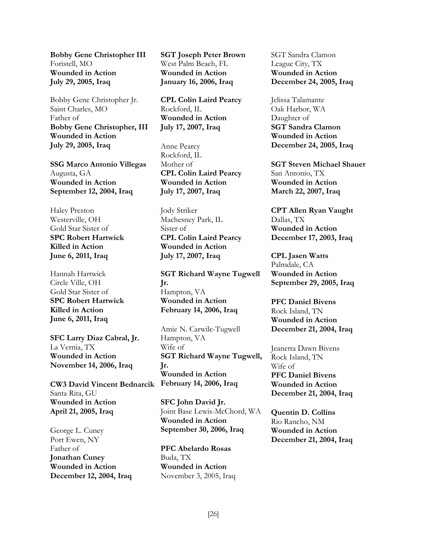**Bobby Gene Christopher III** Foristell, MO **Wounded in Action July 29, 2005, Iraq** 

Bobby Gene Christopher Jr. Saint Charles, MO Father of **Bobby Gene Christopher, III Wounded in Action July 29, 2005, Iraq**

**SSG Marco Antonio Villegas** Augusta, GA **Wounded in Action September 12, 2004, Iraq** 

Haley Preston Westerville, OH Gold Star Sister of **SPC Robert Hartwick Killed in Action June 6, 2011, Iraq**

Hannah Hartwick Circle Ville, OH Gold Star Sister of **SPC Robert Hartwick Killed in Action June 6, 2011, Iraq** 

**SFC Larry Diaz Cabral, Jr.** La Vernia, TX **Wounded in Action November 14, 2006, Iraq** 

**CW3 David Vincent Bednarcik February 14, 2006, Iraq**  Santa Rita, GU **Wounded in Action April 21, 2005, Iraq** 

George L. Cuney Port Ewen, NY Father of **Jonathan Cuney Wounded in Action December 12, 2004, Iraq**

**SGT Joseph Peter Brown** West Palm Beach, FL **Wounded in Action January 16, 2006, Iraq** 

**CPL Colin Laird Pearcy** Rockford, IL **Wounded in Action July 17, 2007, Iraq** 

Anne Pearcy Rockford, IL Mother of **CPL Colin Laird Pearcy Wounded in Action July 17, 2007, Iraq** 

Jody Striker Machesney Park, IL Sister of **CPL Colin Laird Pearcy Wounded in Action July 17, 2007, Iraq**

**SGT Richard Wayne Tugwell Jr.** Hampton, VA **Wounded in Action February 14, 2006, Iraq** 

Amie N. Carwile-Tugwell Hampton, VA Wife of **SGT Richard Wayne Tugwell, Jr. Wounded in Action** 

**SFC John David Jr.** Joint Base Lewis-McChord, WA **Wounded in Action September 30, 2006, Iraq** 

**PFC Abelardo Rosas** Buda, TX **Wounded in Action**  November 3, 2005, Iraq

SGT Sandra Clamon League City, TX **Wounded in Action December 24, 2005, Iraq** 

Jelissa Talamante Oak Harbor, WA Daughter of **SGT Sandra Clamon Wounded in Action December 24, 2005, Iraq** 

**SGT Steven Michael Shauer** San Antonio, TX **Wounded in Action March 22, 2007, Iraq** 

**CPT Allen Ryan Vaught** Dallas, TX **Wounded in Action December 17, 2003, Iraq**

**CPL Jasen Watts** Palmdale, CA **Wounded in Action September 29, 2005, Iraq** 

**PFC Daniel Bivens** Rock Island, TN **Wounded in Action December 21, 2004, Iraq** 

Jeanetta Dawn Bivens Rock Island, TN Wife of **PFC Daniel Bivens Wounded in Action December 21, 2004, Iraq** 

**Quentin D. Collins** Rio Rancho, NM **Wounded in Action December 21, 2004, Iraq**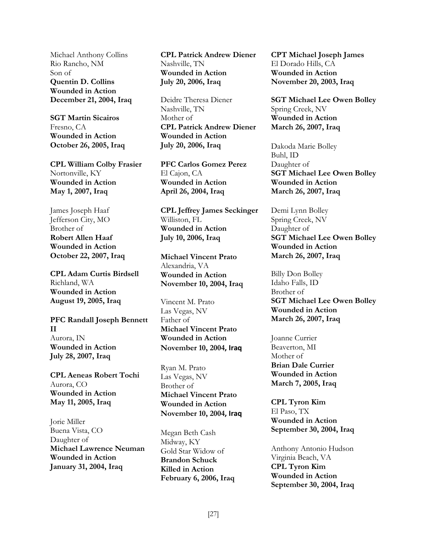Michael Anthony Collins Rio Rancho, NM Son of **Quentin D. Collins Wounded in Action December 21, 2004, Iraq**

**SGT Martin Sicairos** Fresno, CA **Wounded in Action October 26, 2005, Iraq** 

**CPL William Colby Frasier** Nortonville, KY **Wounded in Action May 1, 2007, Iraq** 

James Joseph Haaf Jefferson City, MO Brother of **Robert Allen Haaf Wounded in Action October 22, 2007, Iraq**

**CPL Adam Curtis Birdsell** Richland, WA **Wounded in Action August 19, 2005, Iraq** 

**PFC Randall Joseph Bennett II** Aurora, IN **Wounded in Action July 28, 2007, Iraq** 

**CPL Aeneas Robert Tochi** Aurora, CO **Wounded in Action May 11, 2005, Iraq** 

Jorie Miller Buena Vista, CO Daughter of **Michael Lawrence Neuman Wounded in Action January 31, 2004, Iraq** 

**CPL Patrick Andrew Diener** Nashville, TN **Wounded in Action July 20, 2006, Iraq** 

Deidre Theresa Diener Nashville, TN Mother of **CPL Patrick Andrew Diener Wounded in Action July 20, 2006, Iraq** 

**PFC Carlos Gomez Perez** El Cajon, CA **Wounded in Action April 26, 2004, Iraq** 

**CPL Jeffrey James Seckinger** Williston, FL **Wounded in Action July 10, 2006, Iraq** 

**Michael Vincent Prato** Alexandria, VA **Wounded in Action November 10, 2004, Iraq**

Vincent M. Prato Las Vegas, NV Father of **Michael Vincent Prato Wounded in Action November 10, 2004, Iraq**

Ryan M. Prato Las Vegas, NV Brother of **Michael Vincent Prato Wounded in Action November 10, 2004, Iraq**

Megan Beth Cash Midway, KY Gold Star Widow of **Brandon Schuck Killed in Action February 6, 2006, Iraq** 

**CPT Michael Joseph James** El Dorado Hills, CA **Wounded in Action November 20, 2003, Iraq** 

**SGT Michael Lee Owen Bolley** Spring Creek, NV **Wounded in Action March 26, 2007, Iraq** 

Dakoda Marie Bolley Buhl, ID Daughter of **SGT Michael Lee Owen Bolley Wounded in Action March 26, 2007, Iraq** 

Demi Lynn Bolley Spring Creek, NV Daughter of **SGT Michael Lee Owen Bolley Wounded in Action March 26, 2007, Iraq**

Billy Don Bolley Idaho Falls, ID Brother of **SGT Michael Lee Owen Bolley Wounded in Action March 26, 2007, Iraq** 

Joanne Currier Beaverton, MI Mother of **Brian Dale Currier Wounded in Action March 7, 2005, Iraq**

**CPL Tyron Kim** El Paso, TX **Wounded in Action September 30, 2004, Iraq** 

Anthony Antonio Hudson Virginia Beach, VA **CPL Tyron Kim Wounded in Action September 30, 2004, Iraq**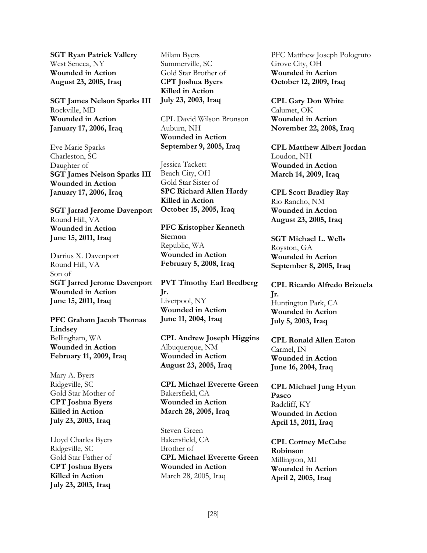**SGT Ryan Patrick Vallery** West Seneca, NY **Wounded in Action August 23, 2005, Iraq** 

**SGT James Nelson Sparks III** Rockville, MD **Wounded in Action January 17, 2006, Iraq** 

Eve Marie Sparks Charleston, SC Daughter of **SGT James Nelson Sparks III Wounded in Action January 17, 2006, Iraq** 

**SGT Jarrad Jerome Davenport** Round Hill, VA **Wounded in Action June 15, 2011, Iraq**

Darrius X. Davenport Round Hill, VA Son of **SGT Jarred Jerome Davenport Wounded in Action June 15, 2011, Iraq** 

**PFC Graham Jacob Thomas Lindsey** Bellingham, WA **Wounded in Action February 11, 2009, Iraq** 

Mary A. Byers Ridgeville, SC Gold Star Mother of **CPT Joshua Byers Killed in Action July 23, 2003, Iraq** 

Lloyd Charles Byers Ridgeville, SC Gold Star Father of **CPT Joshua Byers Killed in Action July 23, 2003, Iraq** 

Milam Byers Summerville, SC Gold Star Brother of **CPT Joshua Byers Killed in Action July 23, 2003, Iraq** 

CPL David Wilson Bronson Auburn, NH **Wounded in Action September 9, 2005, Iraq**

Jessica Tackett Beach City, OH Gold Star Sister of **SPC Richard Allen Hardy Killed in Action October 15, 2005, Iraq** 

**PFC Kristopher Kenneth Siemon** Republic, WA **Wounded in Action February 5, 2008, Iraq** 

**PVT Timothy Earl Bredberg Jr.** Liverpool, NY **Wounded in Action June 11, 2004, Iraq** 

**CPL Andrew Joseph Higgins** Albuquerque, NM **Wounded in Action August 23, 2005, Iraq** 

**CPL Michael Everette Green** Bakersfield, CA **Wounded in Action March 28, 2005, Iraq** 

Steven Green Bakersfield, CA Brother of **CPL Michael Everette Green Wounded in Action**  March 28, 2005, Iraq

PFC Matthew Joseph Pologruto Grove City, OH **Wounded in Action October 12, 2009, Iraq** 

**CPL Gary Don White** Calumet, OK **Wounded in Action November 22, 2008, Iraq** 

**CPL Matthew Albert Jordan** Loudon, NH **Wounded in Action March 14, 2009, Iraq** 

**CPL Scott Bradley Ray** Rio Rancho, NM **Wounded in Action August 23, 2005, Iraq** 

**SGT Michael L. Wells** Royston, GA **Wounded in Action September 8, 2005, Iraq** 

**CPL Ricardo Alfredo Brizuela Jr.** Huntington Park, CA **Wounded in Action July 5, 2003, Iraq** 

**CPL Ronald Allen Eaton** Carmel, IN **Wounded in Action June 16, 2004, Iraq** 

**CPL Michael Jung Hyun Pasco** Radcliff, KY **Wounded in Action April 15, 2011, Iraq** 

**CPL Cortney McCabe Robinson** Millington, MI **Wounded in Action April 2, 2005, Iraq**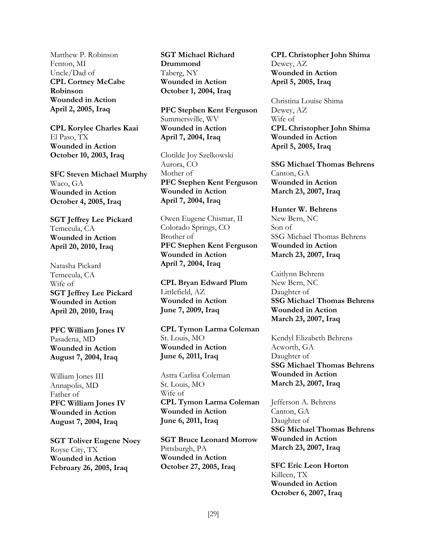Matthew P. Robinson Fenton, MI Uncle/Dad of **CPL Cortney McCabe Robinson Wounded in Action April 2, 2005, Iraq** 

**CPL Korylee Charles Kaai** El Paso, TX **Wounded in Action October 10, 2003, Iraq** 

**SFC Steven Michael Murphy** Waco, GA **Wounded in Action October 4, 2005, Iraq**

**SGT Jeffrey Lee Pickard** Temecula, CA **Wounded in Action April 20, 2010, Iraq** 

Natasha Pickard Temecula, CA Wife of **SGT Jeffrey Lee Pickard Wounded in Action April 20, 2010, Iraq** 

**PFC William Jones IV** Pasadena, MD **Wounded in Action August 7, 2004, Iraq** 

William Jones III Annapolis, MD Father of **PFC William Jones IV Wounded in Action August 7, 2004, Iraq** 

**SGT Toliver Eugene Noey** Royse City, TX **Wounded in Action February 26, 2005, Iraq** 

**SGT Michael Richard Drummond** Taberg, NY **Wounded in Action October 1, 2004, Iraq** 

**PFC Stephen Kent Ferguson** Summersville, WV **Wounded in Action April 7, 2004, Iraq**

Clotilde Joy Szelkowski Aurora, CO Mother of **PFC Stephen Kent Ferguson Wounded in Action April 7, 2004, Iraq**

Owen Eugene Chismar, II Colorado Springs, CO Brother of **PFC Stephen Kent Ferguson Wounded in Action April 7, 2004, Iraq** 

**CPL Bryan Edward Plum** Littlefield, AZ **Wounded in Action June 7, 2009, Iraq** 

**CPL Tymon Larma Coleman** St. Louis, MO **Wounded in Action June 6, 2011, Iraq** 

Astra Carlisa Coleman St. Louis, MO Wife of **CPL Tymon Larma Coleman Wounded in Action June 6, 2011, Iraq** 

**SGT Bruce Leonard Morrow** Pittsburgh, PA **Wounded in Action October 27, 2005, Iraq**

**CPL Christopher John Shima** Dewey, AZ **Wounded in Action April 5, 2005, Iraq** 

Christina Louise Shima Dewey, AZ Wife of **CPL Christopher John Shima Wounded in Action April 5, 2005, Iraq** 

**SSG Michael Thomas Behrens** Canton, GA **Wounded in Action March 23, 2007, Iraq**

**Hunter W. Behrens** New Bern, NC Son of SSG Michael Thomas Behrens **Wounded in Action March 23, 2007, Iraq** 

Caitlynn Behrens New Bern, NC Daughter of **SSG Michael Thomas Behrens Wounded in Action March 23, 2007, Iraq** 

Kendyl Elizabeth Behrens Acworth, GA Daughter of **SSG Michael Thomas Behrens Wounded in Action March 23, 2007, Iraq** 

Jefferson A. Behrens Canton, GA Daughter of **SSG Michael Thomas Behrens Wounded in Action March 23, 2007, Iraq** 

**SFC Eric Leon Horton**  Killeen, TX **Wounded in Action October 6, 2007, Iraq**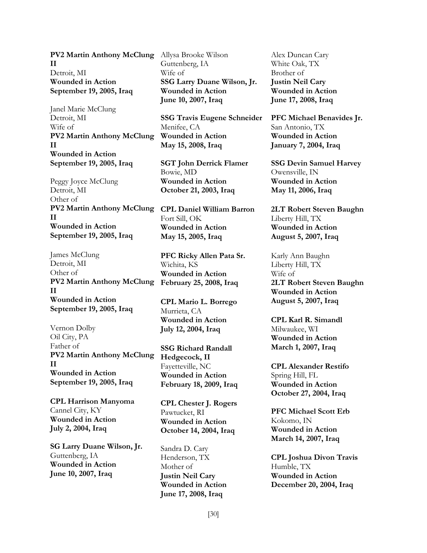**PV2 Martin Anthony McClung**  Allysa Brooke Wilson **II**  Detroit, MI **Wounded in Action September 19, 2005, Iraq** 

Janel Marie McClung Detroit, MI Wife of **PV2 Martin Anthony McClung II Wounded in Action September 19, 2005, Iraq**

Peggy Joyce McClung Detroit, MI Other of **PV2 Martin Anthony McClung CPL Daniel William Barron II Wounded in Action September 19, 2005, Iraq** 

James McClung Detroit, MI Other of **PV2 Martin Anthony McClung February 25, 2008, Iraq II Wounded in Action September 19, 2005, Iraq** 

Vernon Dolby Oil City, PA Father of **PV2 Martin Anthony McClung II Wounded in Action September 19, 2005, Iraq** 

**CPL Harrison Manyoma**  Cannel City, KY **Wounded in Action July 2, 2004, Iraq**

**SG Larry Duane Wilson, Jr.**  Guttenberg, IA **Wounded in Action June 10, 2007, Iraq** 

Guttenberg, IA Wife of **SSG Larry Duane Wilson, Jr. Wounded in Action June 10, 2007, Iraq** 

**SSG Travis Eugene Schneider** Menifee, CA **Wounded in Action May 15, 2008, Iraq**

**SGT John Derrick Flamer** Bowie, MD **Wounded in Action October 21, 2003, Iraq** 

Fort Sill, OK **Wounded in Action May 15, 2005, Iraq** 

**PFC Ricky Allen Pata Sr.** Wichita, KS **Wounded in Action** 

**CPL Mario L. Borrego** Murrieta, CA **Wounded in Action July 12, 2004, Iraq** 

**SSG Richard Randall Hedgecock, II** Fayetteville, NC **Wounded in Action February 18, 2009, Iraq** 

**CPL Chester J. Rogers**  Pawtucket, RI **Wounded in Action October 14, 2004, Iraq** 

Sandra D. Cary Henderson, TX Mother of **Justin Neil Cary Wounded in Action June 17, 2008, Iraq**

Alex Duncan Cary White Oak, TX Brother of **Justin Neil Cary Wounded in Action June 17, 2008, Iraq**

**PFC Michael Benavides Jr.** San Antonio, TX **Wounded in Action January 7, 2004, Iraq** 

**SSG Devin Samuel Harvey** Owensville, IN **Wounded in Action May 11, 2006, Iraq** 

**2LT Robert Steven Baughn** Liberty Hill, TX **Wounded in Action August 5, 2007, Iraq** 

Karly Ann Baughn Liberty Hill, TX Wife of **2LT Robert Steven Baughn Wounded in Action August 5, 2007, Iraq** 

**CPL Karl R. Simandl** Milwaukee, WI **Wounded in Action March 1, 2007, Iraq** 

**CPL Alexander Restifo** Spring Hill, FL **Wounded in Action October 27, 2004, Iraq** 

**PFC Michael Scott Erb** Kokomo, IN **Wounded in Action March 14, 2007, Iraq** 

**CPL Joshua Divon Travis** Humble, TX **Wounded in Action December 20, 2004, Iraq**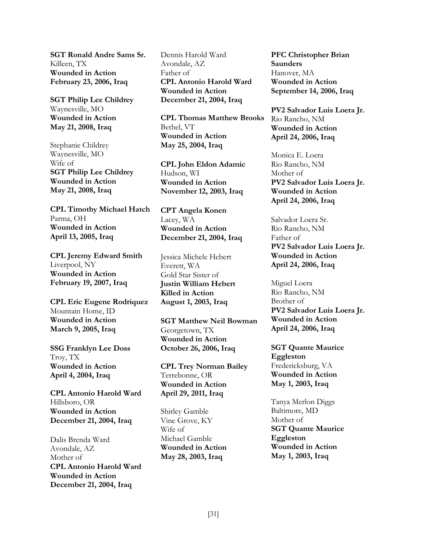**SGT Ronald Andre Sams Sr.** Killeen, TX **Wounded in Action February 23, 2006, Iraq**

**SGT Philip Lee Childrey** Waynesville, MO **Wounded in Action May 21, 2008, Iraq**

Stephanie Childrey Waynesville, MO Wife of **SGT Philip Lee Childrey Wounded in Action May 21, 2008, Iraq** 

**CPL Timothy Michael Hatch** Parma, OH **Wounded in Action April 13, 2005, Iraq** 

**CPL Jeremy Edward Smith** Liverpool, NY **Wounded in Action February 19, 2007, Iraq** 

**CPL Eric Eugene Rodriquez** Mountain Home, ID **Wounded in Action March 9, 2005, Iraq** 

**SSG Franklyn Lee Doss** Troy, TX **Wounded in Action April 4, 2004, Iraq**

**CPL Antonio Harold Ward** Hillsboro, OR **Wounded in Action December 21, 2004, Iraq** 

Dalis Brenda Ward Avondale, AZ Mother of **CPL Antonio Harold Ward Wounded in Action December 21, 2004, Iraq** 

Dennis Harold Ward Avondale, AZ Father of **CPL Antonio Harold Ward Wounded in Action December 21, 2004, Iraq**

**CPL Thomas Matthew Brooks** Bethel, VT **Wounded in Action May 25, 2004, Iraq** 

**CPL John Eldon Adamic** Hudson, WI **Wounded in Action November 12, 2003, Iraq** 

**CPT Angela Konen** Lacey, WA **Wounded in Action December 21, 2004, Iraq** 

Jessica Michele Hebert Everett, WA Gold Star Sister of **Justin William Hebert Killed in Action August 1, 2003, Iraq** 

**SGT Matthew Neil Bowman** Georgetown, TX **Wounded in Action October 26, 2006, Iraq** 

**CPL Trey Norman Bailey** Terrebonne, OR **Wounded in Action April 29, 2011, Iraq**

Shirley Gamble Vine Grove, KY Wife of Michael Gamble **Wounded in Action May 28, 2003, Iraq**

**PFC Christopher Brian Saunders** Hanover, MA **Wounded in Action September 14, 2006, Iraq** 

**PV2 Salvador Luis Loera Jr.** Rio Rancho, NM **Wounded in Action April 24, 2006, Iraq** 

Monica E. Loera Rio Rancho, NM Mother of **PV2 Salvador Luis Loera Jr. Wounded in Action April 24, 2006, Iraq** 

Salvador Loera Sr. Rio Rancho, NM Father of **PV2 Salvador Luis Loera Jr. Wounded in Action April 24, 2006, Iraq** 

Miguel Loera Rio Rancho, NM Brother of **PV2 Salvador Luis Loera Jr. Wounded in Action April 24, 2006, Iraq** 

**SGT Quante Maurice Eggleston** Fredericksburg, VA **Wounded in Action May 1, 2003, Iraq**

Tanya Merlon Diggs Baltimore, MD Mother of **SGT Quante Maurice Eggleston Wounded in Action May 1, 2003, Iraq**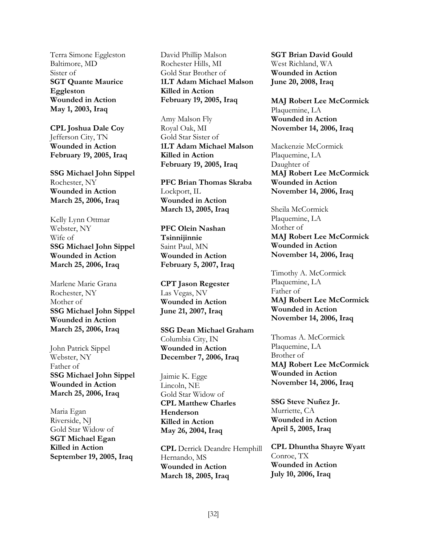Terra Simone Eggleston Baltimore, MD Sister of **SGT Quante Maurice Eggleston Wounded in Action May 1, 2003, Iraq** 

**CPL Joshua Dale Coy** Jefferson City, TN **Wounded in Action February 19, 2005, Iraq**

**SSG Michael John Sippel** Rochester, NY **Wounded in Action March 25, 2006, Iraq** 

Kelly Lynn Ottmar Webster, NY Wife of **SSG Michael John Sippel Wounded in Action March 25, 2006, Iraq** 

Marlene Marie Grana Rochester, NY Mother of **SSG Michael John Sippel Wounded in Action March 25, 2006, Iraq** 

John Patrick Sippel Webster, NY Father of **SSG Michael John Sippel Wounded in Action March 25, 2006, Iraq** 

Maria Egan Riverside, NJ Gold Star Widow of **SGT Michael Egan Killed in Action September 19, 2005, Iraq**  David Phillip Malson Rochester Hills, MI Gold Star Brother of **1LT Adam Michael Malson Killed in Action February 19, 2005, Iraq**

Amy Malson Fly Royal Oak, MI Gold Star Sister of **1LT Adam Michael Malson Killed in Action February 19, 2005, Iraq**

**PFC Brian Thomas Skraba** Lockport, IL **Wounded in Action March 13, 2005, Iraq** 

**PFC Olein Nashan Tsinnijinnie** Saint Paul, MN **Wounded in Action February 5, 2007, Iraq** 

**CPT Jason Regester** Las Vegas, NV **Wounded in Action June 21, 2007, Iraq** 

**SSG Dean Michael Graham** Columbia City, IN **Wounded in Action December 7, 2006, Iraq** 

Jaimie K. Egge Lincoln, NE Gold Star Widow of **CPL Matthew Charles Henderson Killed in Action May 26, 2004, Iraq** 

**CPL** Derrick Deandre Hemphill Hernando, MS **Wounded in Action March 18, 2005, Iraq** 

**SGT Brian David Gould** West Richland, WA **Wounded in Action June 20, 2008, Iraq** 

**MAJ Robert Lee McCormick** Plaquemine, LA **Wounded in Action November 14, 2006, Iraq** 

Mackenzie McCormick Plaquemine, LA Daughter of **MAJ Robert Lee McCormick Wounded in Action November 14, 2006, Iraq**

Sheila McCormick Plaquemine, LA Mother of **MAJ Robert Lee McCormick Wounded in Action November 14, 2006, Iraq** 

Timothy A. McCormick Plaquemine, LA Father of **MAJ Robert Lee McCormick Wounded in Action November 14, 2006, Iraq** 

Thomas A. McCormick Plaquemine, LA Brother of **MAJ Robert Lee McCormick Wounded in Action November 14, 2006, Iraq** 

**SSG Steve Nuñez Jr.** Murriette, CA **Wounded in Action April 5, 2005, Iraq** 

**CPL Dhuntha Shayre Wyatt** Conroe, TX **Wounded in Action July 10, 2006, Iraq**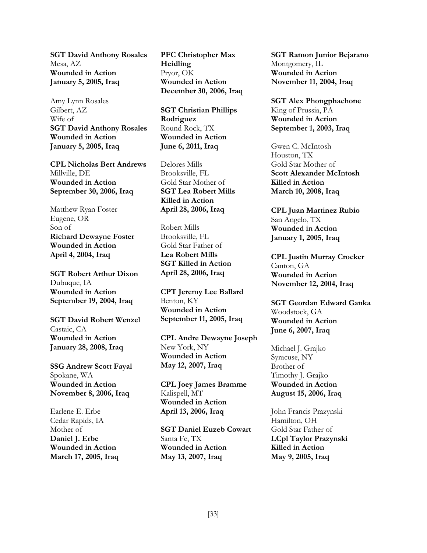**SGT David Anthony Rosales** Mesa, AZ **Wounded in Action January 5, 2005, Iraq** 

Amy Lynn Rosales Gilbert, AZ Wife of **SGT David Anthony Rosales Wounded in Action January 5, 2005, Iraq**

**CPL Nicholas Bert Andrews** Millville, DE **Wounded in Action September 30, 2006, Iraq** 

Matthew Ryan Foster Eugene, OR Son of **Richard Dewayne Foster Wounded in Action April 4, 2004, Iraq**

**SGT Robert Arthur Dixon** Dubuque, IA **Wounded in Action September 19, 2004, Iraq** 

**SGT David Robert Wenzel** Castaic, CA **Wounded in Action January 28, 2008, Iraq** 

**SSG Andrew Scott Fayal** Spokane, WA **Wounded in Action November 8, 2006, Iraq** 

Earlene E. Erbe Cedar Rapids, IA Mother of **Daniel J. Erbe Wounded in Action March 17, 2005, Iraq** **PFC Christopher Max Heidling** Pryor, OK **Wounded in Action December 30, 2006, Iraq** 

**SGT Christian Phillips Rodriguez** Round Rock, TX **Wounded in Action June 6, 2011, Iraq** 

Delores Mills Brooksville, FL Gold Star Mother of **SGT Lea Robert Mills Killed in Action April 28, 2006, Iraq**

Robert Mills Brooksville, FL Gold Star Father of **Lea Robert Mills SGT Killed in Action April 28, 2006, Iraq** 

**CPT Jeremy Lee Ballard** Benton, KY **Wounded in Action September 11, 2005, Iraq** 

**CPL Andre Dewayne Joseph** New York, NY **Wounded in Action May 12, 2007, Iraq** 

**CPL Joey James Bramme** Kalispell, MT **Wounded in Action April 13, 2006, Iraq** 

**SGT Daniel Euzeb Cowart** Santa Fe, TX **Wounded in Action May 13, 2007, Iraq** 

**SGT Ramon Junior Bejarano** Montgomery, IL **Wounded in Action November 11, 2004, Iraq** 

**SGT Alex Phongphachone** King of Prussia, PA **Wounded in Action September 1, 2003, Iraq** 

Gwen C. McIntosh Houston, TX Gold Star Mother of **Scott Alexander McIntosh Killed in Action March 10, 2008, Iraq** 

**CPL Juan Martinez Rubio** San Angelo, TX **Wounded in Action January 1, 2005, Iraq** 

**CPL Justin Murray Crocker** Canton, GA **Wounded in Action November 12, 2004, Iraq** 

**SGT Geordan Edward Ganka** Woodstock, GA **Wounded in Action June 6, 2007, Iraq** 

Michael J. Grajko Syracuse, NY Brother of Timothy J. Grajko **Wounded in Action August 15, 2006, Iraq**

John Francis Prazynski Hamilton, OH Gold Star Father of **LCpl Taylor Prazynski Killed in Action May 9, 2005, Iraq**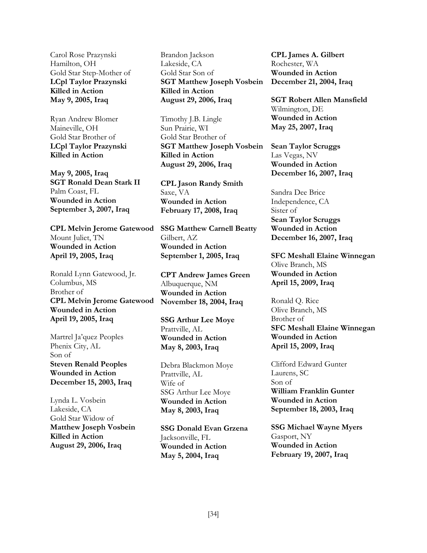Carol Rose Prazynski Hamilton, OH Gold Star Step-Mother of **LCpl Taylor Prazynski Killed in Action May 9, 2005, Iraq** 

Ryan Andrew Blomer Maineville, OH Gold Star Brother of **LCpl Taylor Prazynski Killed in Action** 

**May 9, 2005, Iraq SGT Ronald Dean Stark II** Palm Coast, FL **Wounded in Action September 3, 2007, Iraq** 

**CPL Melvin Jerome Gatewood** Mount Juliet, TN **Wounded in Action April 19, 2005, Iraq**

Ronald Lynn Gatewood, Jr. Columbus, MS Brother of **CPL Melvin Jerome Gatewood Wounded in Action April 19, 2005, Iraq** 

Martrel Ja'quez Peoples Phenix City, AL Son of **Steven Renald Peoples Wounded in Action December 15, 2003, Iraq**

Lynda L. Vosbein Lakeside, CA Gold Star Widow of **Matthew Joseph Vosbein Killed in Action August 29, 2006, Iraq**

Brandon Jackson Lakeside, CA Gold Star Son of **SGT Matthew Joseph Vosbein Killed in Action August 29, 2006, Iraq** 

Timothy J.B. Lingle Sun Prairie, WI Gold Star Brother of **SGT Matthew Joseph Vosbein Killed in Action August 29, 2006, Iraq** 

**CPL Jason Randy Smith** Saxe, VA **Wounded in Action February 17, 2008, Iraq** 

**SSG Matthew Carnell Beatty** Gilbert, AZ **Wounded in Action September 1, 2005, Iraq** 

**CPT Andrew James Green** Albuquerque, NM **Wounded in Action November 18, 2004, Iraq** 

**SSG Arthur Lee Moye** Prattville, AL **Wounded in Action May 8, 2003, Iraq**

Debra Blackmon Moye Prattville, AL Wife of SSG Arthur Lee Moye **Wounded in Action May 8, 2003, Iraq**

**SSG Donald Evan Grzena** Jacksonville, FL **Wounded in Action May 5, 2004, Iraq** 

**CPL James A. Gilbert** Rochester, WA **Wounded in Action December 21, 2004, Iraq** 

**SGT Robert Allen Mansfield** Wilmington, DE **Wounded in Action May 25, 2007, Iraq** 

**Sean Taylor Scruggs** Las Vegas, NV **Wounded in Action December 16, 2007, Iraq** 

Sandra Dee Brice Independence, CA Sister of **Sean Taylor Scruggs Wounded in Action December 16, 2007, Iraq** 

**SFC Meshall Elaine Winnegan** Olive Branch, MS **Wounded in Action April 15, 2009, Iraq**

Ronald Q. Rice Olive Branch, MS Brother of **SFC Meshall Elaine Winnegan Wounded in Action April 15, 2009, Iraq** 

Clifford Edward Gunter Laurens, SC Son of **William Franklin Gunter Wounded in Action September 18, 2003, Iraq**

**SSG Michael Wayne Myers** Gasport, NY **Wounded in Action February 19, 2007, Iraq**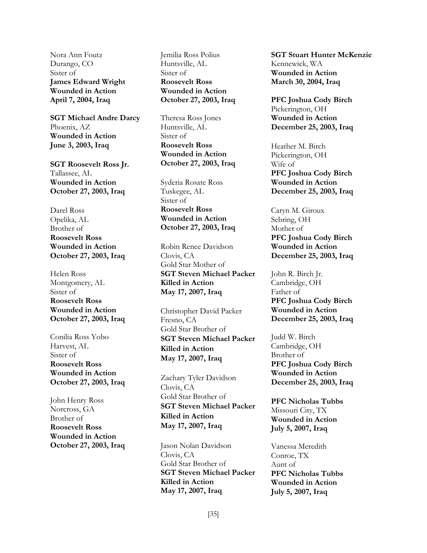Nora Ann Foutz Durango, CO Sister of **James Edward Wright Wounded in Action April 7, 2004, Iraq**

**SGT Michael Andre Darcy** Phoenix, AZ **Wounded in Action June 3, 2003, Iraq** 

**SGT Roosevelt Ross Jr.** Tallassee, AL **Wounded in Action October 27, 2003, Iraq** 

Darel Ross Opelika, AL Brother of **Roosevelt Ross Wounded in Action October 27, 2003, Iraq** 

Helen Ross Montgomery, AL Sister of **Roosevelt Ross Wounded in Action October 27, 2003, Iraq** 

Conilia Ross Yobo Harvest, AL Sister of **Roosevelt Ross Wounded in Action October 27, 2003, Iraq** 

John Henry Ross Norcross, GA Brother of **Roosevelt Ross Wounded in Action October 27, 2003, Iraq**  Jemilia Ross Polius Huntsville, AL Sister of **Roosevelt Ross Wounded in Action October 27, 2003, Iraq** 

Theresa Ross Jones Huntsville, AL Sister of **Roosevelt Ross Wounded in Action October 27, 2003, Iraq** 

Syderia Rosate Ross Tuskegee, AL Sister of **Roosevelt Ross Wounded in Action October 27, 2003, Iraq** 

Robin Renee Davidson Clovis, CA Gold Star Mother of **SGT Steven Michael Packer Killed in Action May 17, 2007, Iraq**

Christopher David Packer Fresno, CA Gold Star Brother of **SGT Steven Michael Packer Killed in Action May 17, 2007, Iraq**

Zachary Tyler Davidson Clovis, CA Gold Star Brother of **SGT Steven Michael Packer Killed in Action May 17, 2007, Iraq**

Jason Nolan Davidson Clovis, CA Gold Star Brother of **SGT Steven Michael Packer Killed in Action May 17, 2007, Iraq**

**SGT Stuart Hunter McKenzie** Kennewick, WA **Wounded in Action March 30, 2004, Iraq** 

**PFC Joshua Cody Birch** Pickerington, OH **Wounded in Action December 25, 2003, Iraq** 

Heather M. Birch Pickerington, OH Wife of **PFC Joshua Cody Birch Wounded in Action December 25, 2003, Iraq** 

Caryn M. Giroux Sebring, OH Mother of **PFC Joshua Cody Birch Wounded in Action December 25, 2003, Iraq** 

John R. Birch Jr. Cambridge, OH Father of **PFC Joshua Cody Birch Wounded in Action December 25, 2003, Iraq**

Judd W. Birch Cambridge, OH Brother of **PFC Joshua Cody Birch Wounded in Action December 25, 2003, Iraq** 

**PFC Nicholas Tubbs** Missouri City, TX **Wounded in Action July 5, 2007, Iraq** 

Vanessa Meredith Conroe, TX Aunt of **PFC Nicholas Tubbs Wounded in Action July 5, 2007, Iraq**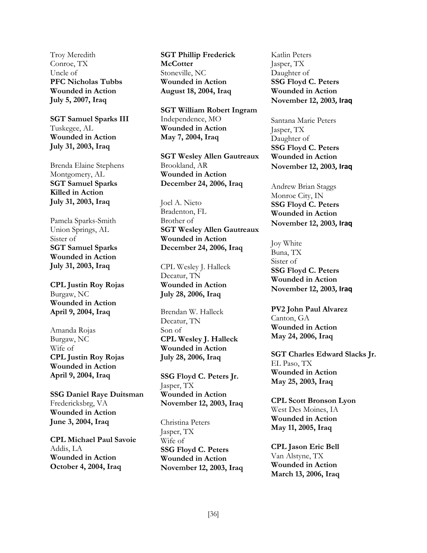Troy Meredith Conroe, TX Uncle of **PFC Nicholas Tubbs Wounded in Action July 5, 2007, Iraq** 

**SGT Samuel Sparks III** Tuskegee, AL **Wounded in Action July 31, 2003, Iraq** 

Brenda Elaine Stephens Montgomery, AL **SGT Samuel Sparks Killed in Action July 31, 2003, Iraq** 

Pamela Sparks-Smith Union Springs, AL Sister of **SGT Samuel Sparks Wounded in Action July 31, 2003, Iraq** 

**CPL Justin Roy Rojas** Burgaw, NC **Wounded in Action April 9, 2004, Iraq**

Amanda Rojas Burgaw, NC Wife of **CPL Justin Roy Rojas Wounded in Action April 9, 2004, Iraq** 

**SSG Daniel Raye Duitsman** Fredericksbrg, VA **Wounded in Action June 3, 2004, Iraq** 

**CPL Michael Paul Savoie** Addis, LA **Wounded in Action October 4, 2004, Iraq** 

**SGT Phillip Frederick McCotter** Stoneville, NC **Wounded in Action August 18, 2004, Iraq** 

**SGT William Robert Ingram** Independence, MO **Wounded in Action May 7, 2004, Iraq** 

**SGT Wesley Allen Gautreaux** Brookland, AR **Wounded in Action December 24, 2006, Iraq** 

Joel A. Nieto Bradenton, FL Brother of **SGT Wesley Allen Gautreaux Wounded in Action December 24, 2006, Iraq** 

CPL Wesley J. Halleck Decatur, TN **Wounded in Action July 28, 2006, Iraq**

Brendan W. Halleck Decatur, TN Son of **CPL Wesley J. Halleck Wounded in Action July 28, 2006, Iraq** 

**SSG Floyd C. Peters Jr.** Jasper, TX **Wounded in Action November 12, 2003, Iraq** 

Christina Peters Jasper, TX Wife of **SSG Floyd C. Peters Wounded in Action November 12, 2003, Iraq**

Katlin Peters Jasper, TX Daughter of **SSG Floyd C. Peters Wounded in Action November 12, 2003, Iraq**

Santana Marie Peters Jasper, TX Daughter of **SSG Floyd C. Peters Wounded in Action November 12, 2003, Iraq**

Andrew Brian Staggs Monroe City, IN **SSG Floyd C. Peters Wounded in Action November 12, 2003, Iraq**

Joy White Buna, TX Sister of **SSG Floyd C. Peters Wounded in Action November 12, 2003, Iraq**

**PV2 John Paul Alvarez** Canton, GA **Wounded in Action May 24, 2006, Iraq**

**SGT Charles Edward Slacks Jr.** EL Paso, TX **Wounded in Action May 25, 2003, Iraq** 

**CPL Scott Bronson Lyon** West Des Moines, IA **Wounded in Action May 11, 2005, Iraq** 

**CPL Jason Eric Bell** Van Alstyne, TX **Wounded in Action March 13, 2006, Iraq**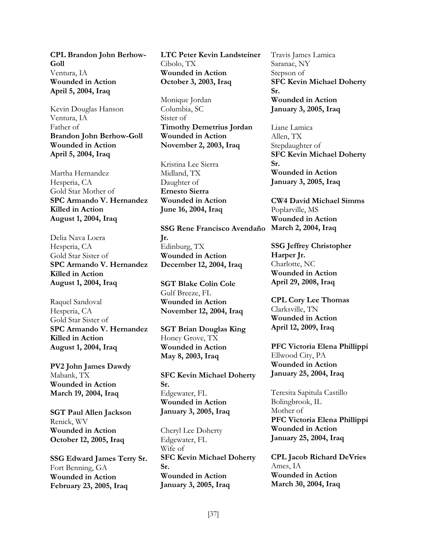**CPL Brandon John Berhow-Goll** Ventura, IA **Wounded in Action April 5, 2004, Iraq** 

Kevin Douglas Hanson Ventura, IA Father of **Brandon John Berhow-Goll Wounded in Action April 5, 2004, Iraq**

Martha Hernandez Hesperia, CA Gold Star Mother of **SPC Armando V. Hernandez Killed in Action August 1, 2004, Iraq** 

Delia Nava Loera Hesperia, CA Gold Star Sister of **SPC Armando V. Hernandez Killed in Action August 1, 2004, Iraq** 

Raquel Sandoval Hesperia, CA Gold Star Sister of **SPC Armando V. Hernandez Killed in Action August 1, 2004, Iraq** 

**PV2 John James Dawdy** Mabank, TX **Wounded in Action March 19, 2004, Iraq** 

**SGT Paul Allen Jackson** Renick, WV **Wounded in Action October 12, 2005, Iraq** 

**SSG Edward James Terry Sr.** Fort Benning, GA **Wounded in Action February 23, 2005, Iraq** 

**LTC Peter Kevin Landsteiner** Cibolo, TX **Wounded in Action October 3, 2003, Iraq**

Monique Jordan Columbia, SC Sister of **Timothy Demetrius Jordan Wounded in Action November 2, 2003, Iraq**

Kristina Lee Sierra Midland, TX Daughter of **Ernesto Sierra Wounded in Action June 16, 2004, Iraq**

**SSG Rene Francisco Avendaño March 2, 2004, Iraq Jr.** Edinburg, TX **Wounded in Action December 12, 2004, Iraq** 

**SGT Blake Colin Cole** Gulf Breeze, FL **Wounded in Action November 12, 2004, Iraq**

**SGT Brian Douglas King** Honey Grove, TX **Wounded in Action May 8, 2003, Iraq** 

**SFC Kevin Michael Doherty Sr.** Edgewater, FL **Wounded in Action January 3, 2005, Iraq** 

Cheryl Lee Doherty Edgewater, FL Wife of **SFC Kevin Michael Doherty Sr. Wounded in Action January 3, 2005, Iraq** 

Travis James Lamica Saranac, NY Stepson of **SFC Kevin Michael Doherty Sr. Wounded in Action January 3, 2005, Iraq** 

Liane Lamica Allen, TX Stepdaughter of **SFC Kevin Michael Doherty Sr. Wounded in Action January 3, 2005, Iraq** 

**CW4 David Michael Simms** Poplarville, MS **Wounded in Action** 

**SSG Jeffrey Christopher Harper Jr.** Charlotte, NC **Wounded in Action April 29, 2008, Iraq** 

**CPL Cory Lee Thomas** Clarksville, TN **Wounded in Action April 12, 2009, Iraq**

**PFC Victoria Elena Phillippi** Ellwood City, PA **Wounded in Action January 25, 2004, Iraq** 

Teresita Sapitula Castillo Bolingbrook, IL Mother of **PFC Victoria Elena Phillippi Wounded in Action January 25, 2004, Iraq** 

**CPL Jacob Richard DeVries** Ames, IA **Wounded in Action March 30, 2004, Iraq**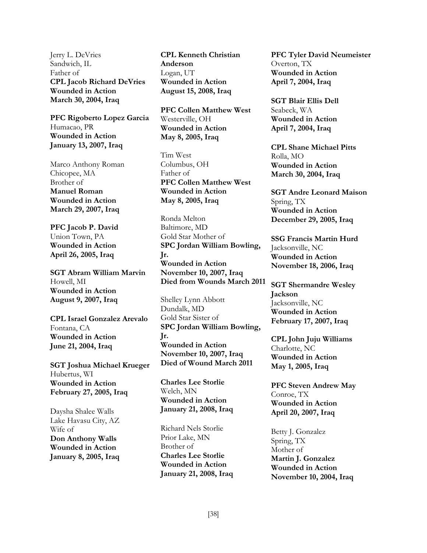Jerry L. DeVries Sandwich, IL Father of **CPL Jacob Richard DeVries Wounded in Action March 30, 2004, Iraq**

**PFC Rigoberto Lopez Garcia** Humacao, PR **Wounded in Action January 13, 2007, Iraq** 

Marco Anthony Roman Chicopee, MA Brother of **Manuel Roman Wounded in Action March 29, 2007, Iraq**

**PFC Jacob P. David** Union Town, PA **Wounded in Action April 26, 2005, Iraq** 

**SGT Abram William Marvin** Howell, MI **Wounded in Action August 9, 2007, Iraq** 

**CPL Israel Gonzalez Arevalo** Fontana, CA **Wounded in Action June 21, 2004, Iraq** 

**SGT Joshua Michael Krueger** Hubertus, WI **Wounded in Action February 27, 2005, Iraq** 

Daysha Shalee Walls Lake Havasu City, AZ Wife of **Don Anthony Walls Wounded in Action January 8, 2005, Iraq** **CPL Kenneth Christian Anderson** Logan, UT **Wounded in Action August 15, 2008, Iraq** 

**PFC Collen Matthew West** Westerville, OH **Wounded in Action May 8, 2005, Iraq**

Tim West Columbus, OH Father of **PFC Collen Matthew West Wounded in Action May 8, 2005, Iraq** 

Ronda Melton Baltimore, MD Gold Star Mother of **SPC Jordan William Bowling, Jr. Wounded in Action November 10, 2007, Iraq Died from Wounds March 2011**

Shelley Lynn Abbott Dundalk, MD Gold Star Sister of **SPC Jordan William Bowling, Jr. Wounded in Action November 10, 2007, Iraq Died of Wound March 2011**

**Charles Lee Storlie** Welch, MN **Wounded in Action January 21, 2008, Iraq** 

Richard Nels Storlie Prior Lake, MN Brother of **Charles Lee Storlie Wounded in Action January 21, 2008, Iraq** 

**PFC Tyler David Neumeister** Overton, TX **Wounded in Action April 7, 2004, Iraq** 

**SGT Blair Ellis Dell** Seabeck, WA **Wounded in Action April 7, 2004, Iraq**

**CPL Shane Michael Pitts** Rolla, MO **Wounded in Action March 30, 2004, Iraq**

**SGT Andre Leonard Maison** Spring, TX **Wounded in Action December 29, 2005, Iraq** 

**SSG Francis Martin Hurd** Jacksonville, NC **Wounded in Action November 18, 2006, Iraq** 

**SGT Shermandre Wesley Jackson** Jacksonville, NC **Wounded in Action February 17, 2007, Iraq** 

**CPL John Juju Williams** Charlotte, NC **Wounded in Action May 1, 2005, Iraq** 

**PFC Steven Andrew May** Conroe, TX **Wounded in Action April 20, 2007, Iraq** 

Betty J. Gonzalez Spring, TX Mother of **Martin J. Gonzalez Wounded in Action November 10, 2004, Iraq**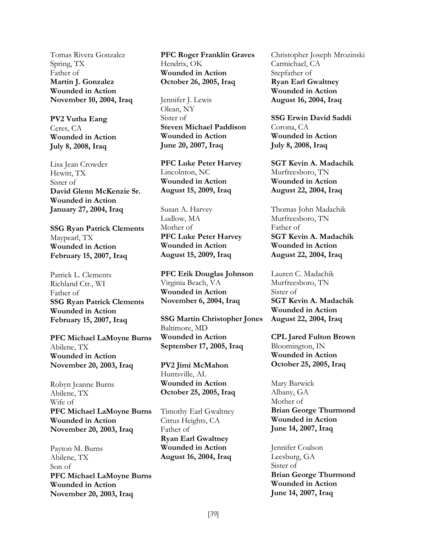Tomas Rivera Gonzalez Spring, TX Father of **Martin J. Gonzalez Wounded in Action November 10, 2004, Iraq**

**PV2 Vutha Eang** Ceres, CA **Wounded in Action July 8, 2008, Iraq**

Lisa Jean Crowder Hewitt, TX Sister of **David Glenn McKenzie Sr. Wounded in Action January 27, 2004, Iraq**

**SSG Ryan Patrick Clements** Maypearl, TX **Wounded in Action February 15, 2007, Iraq** 

Patrick L. Clements Richland Ctr., WI Father of **SSG Ryan Patrick Clements Wounded in Action February 15, 2007, Iraq** 

**PFC Michael LaMoyne Burns** Abilene, TX **Wounded in Action November 20, 2003, Iraq** 

Robyn Jeanne Burns Abilene, TX Wife of **PFC Michael LaMoyne Burns Wounded in Action November 20, 2003, Iraq** 

Payton M. Burns Abilene, TX Son of **PFC Michael LaMoyne Burns Wounded in Action November 20, 2003, Iraq** 

**PFC Roger Franklin Graves** Hendrix, OK **Wounded in Action October 26, 2005, Iraq**

Jennifer J. Lewis Olean, NY Sister of **Steven Michael Paddison Wounded in Action June 20, 2007, Iraq**

**PFC Luke Peter Harvey** Lincolnton, NC **Wounded in Action August 15, 2009, Iraq** 

Susan A. Harvey Ludlow, MA Mother of **PFC Luke Peter Harvey Wounded in Action August 15, 2009, Iraq** 

**PFC Erik Douglas Johnson** Virginia Beach, VA **Wounded in Action November 6, 2004, Iraq** 

**SSG Martin Christopher Jones** Baltimore, MD **Wounded in Action September 17, 2005, Iraq** 

**PV2 Jimi McMahon** Huntsville, AL **Wounded in Action October 25, 2005, Iraq** 

Timothy Earl Gwaltney Citrus Heights, CA Father of **Ryan Earl Gwaltney Wounded in Action August 16, 2004, Iraq**

Christopher Joseph Mrozinski Carmichael, CA Stepfather of **Ryan Earl Gwaltney Wounded in Action August 16, 2004, Iraq**

**SSG Erwin David Saddi** Corona, CA **Wounded in Action July 8, 2008, Iraq**

**SGT Kevin A. Madachik** Murfreesboro, TN **Wounded in Action August 22, 2004, Iraq** 

Thomas John Madachik Murfreesboro, TN Father of **SGT Kevin A. Madachik Wounded in Action August 22, 2004, Iraq** 

Lauren C. Madachik Murfreesboro, TN Sister of **SGT Kevin A. Madachik Wounded in Action August 22, 2004, Iraq**

**CPL Jared Fulton Brown** Bloomington, IN **Wounded in Action October 25, 2005, Iraq** 

Mary Barwick Albany, GA Mother of **Brian George Thurmond Wounded in Action June 14, 2007, Iraq**

Jennifer Coalson Leesburg, GA Sister of **Brian George Thurmond Wounded in Action June 14, 2007, Iraq**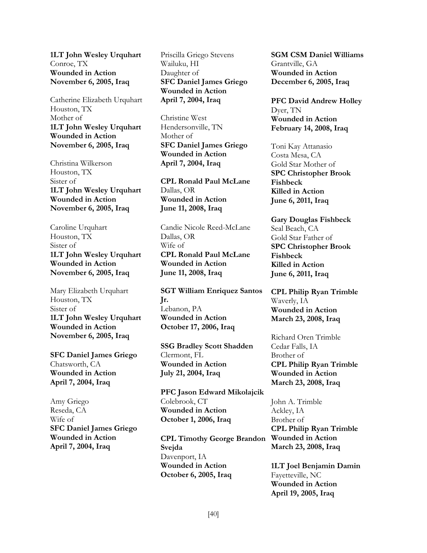**1LT John Wesley Urquhart** Conroe, TX **Wounded in Action November 6, 2005, Iraq**

Catherine Elizabeth Urquhart Houston, TX Mother of **1LT John Wesley Urquhart Wounded in Action November 6, 2005, Iraq** 

Christina Wilkerson Houston, TX Sister of **1LT John Wesley Urquhart Wounded in Action November 6, 2005, Iraq** 

Caroline Urquhart Houston, TX Sister of **1LT John Wesley Urquhart Wounded in Action November 6, 2005, Iraq** 

Mary Elizabeth Urquhart Houston, TX Sister of **1LT John Wesley Urquhart Wounded in Action November 6, 2005, Iraq** 

**SFC Daniel James Griego** Chatsworth, CA **Wounded in Action April 7, 2004, Iraq** 

Amy Griego Reseda, CA Wife of **SFC Daniel James Griego Wounded in Action April 7, 2004, Iraq** 

Priscilla Griego Stevens Wailuku, HI Daughter of **SFC Daniel James Griego Wounded in Action April 7, 2004, Iraq** 

Christine West Hendersonville, TN Mother of **SFC Daniel James Griego Wounded in Action April 7, 2004, Iraq**

**CPL Ronald Paul McLane** Dallas, OR **Wounded in Action June 11, 2008, Iraq** 

Candie Nicole Reed-McLane Dallas, OR Wife of **CPL Ronald Paul McLane Wounded in Action June 11, 2008, Iraq** 

**SGT William Enriquez Santos Jr.** Lebanon, PA **Wounded in Action October 17, 2006, Iraq** 

**SSG Bradley Scott Shadden** Clermont, FL **Wounded in Action July 21, 2004, Iraq** 

**PFC Jason Edward Mikolajcik** Colebrook, CT **Wounded in Action October 1, 2006, Iraq** 

**CPL Timothy George Brandon Svejda** Davenport, IA **Wounded in Action October 6, 2005, Iraq** 

**SGM CSM Daniel Williams** Grantville, GA **Wounded in Action December 6, 2005, Iraq** 

**PFC David Andrew Holley** Dyer, TN **Wounded in Action February 14, 2008, Iraq**

Toni Kay Attanasio Costa Mesa, CA Gold Star Mother of **SPC Christopher Brook Fishbeck Killed in Action June 6, 2011, Iraq** 

**Gary Douglas Fishbeck** Seal Beach, CA Gold Star Father of **SPC Christopher Brook Fishbeck Killed in Action June 6, 2011, Iraq** 

**CPL Philip Ryan Trimble** Waverly, IA **Wounded in Action March 23, 2008, Iraq** 

Richard Oren Trimble Cedar Falls, IA Brother of **CPL Philip Ryan Trimble Wounded in Action March 23, 2008, Iraq** 

John A. Trimble Ackley, IA Brother of **CPL Philip Ryan Trimble Wounded in Action March 23, 2008, Iraq** 

**1LT Joel Benjamin Damin** Fayetteville, NC **Wounded in Action April 19, 2005, Iraq**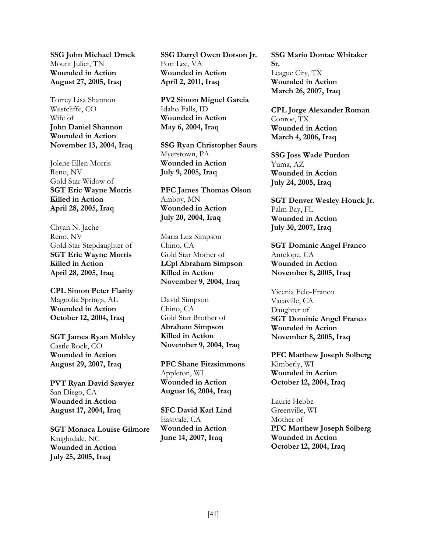**SSG John Michael Drnek** Mount Juliet, TN **Wounded in Action August 27, 2005, Iraq** 

Torrey Lisa Shannon Westcliffe, CO Wife of **John Daniel Shannon Wounded in Action November 13, 2004, Iraq**

Jolene Ellen Morris Reno, NV Gold Star Widow of **SGT Eric Wayne Morris Killed in Action April 28, 2005, Iraq** 

Chyan N. Jache Reno, NV Gold Star Stepdaughter of **SGT Eric Wayne Morris Killed in Action April 28, 2005, Iraq** 

**CPL Simon Peter Flarity** Magnolia Springs, AL **Wounded in Action October 12, 2004, Iraq** 

**SGT James Ryan Mobley** Castle Rock, CO **Wounded in Action August 29, 2007, Iraq** 

**PVT Ryan David Sawyer** San Diego, CA **Wounded in Action August 17, 2004, Iraq** 

**SGT Monaca Louise Gilmore** Knightdale, NC **Wounded in Action July 25, 2005, Iraq** 

**SSG Darryl Owen Dotson Jr.** Fort Lee, VA **Wounded in Action April 2, 2011, Iraq** 

**PV2 Simon Miguel Garcia** Idaho Falls, ID **Wounded in Action May 6, 2004, Iraq**

**SSG Ryan Christopher Saurs** Myerstown, PA **Wounded in Action July 9, 2005, Iraq** 

**PFC James Thomas Olson** Amboy, MN **Wounded in Action July 20, 2004, Iraq** 

Maria Luz Simpson Chino, CA Gold Star Mother of **LCpl Abraham Simpson Killed in Action November 9, 2004, Iraq** 

David Simpson Chino, CA Gold Star Brother of **Abraham Simpson Killed in Action November 9, 2004, Iraq** 

**PFC Shane Fitzsimmons** Appleton, WI **Wounded in Action August 16, 2004, Iraq** 

**SFC David Karl Lind** Eastvale, CA **Wounded in Action June 14, 2007, Iraq** 

**SSG Mario Dontae Whitaker Sr.** League City, TX **Wounded in Action March 26, 2007, Iraq** 

**CPL Jorge Alexander Roman** Conroe, TX **Wounded in Action March 4, 2006, Iraq**

**SSG Joss Wade Purdon** Yuma, AZ **Wounded in Action July 24, 2005, Iraq** 

**SGT Denver Wesley Houck Jr.** Palm Bay, FL **Wounded in Action July 30, 2007, Iraq** 

**SGT Dominic Angel Franco** Antelope, CA **Wounded in Action November 8, 2005, Iraq** 

Yicenia Felo-Franco Vacaville, CA Daughter of **SGT Dominic Angel Franco Wounded in Action November 8, 2005, Iraq** 

**PFC Matthew Joseph Solberg** Kimberly, WI **Wounded in Action October 12, 2004, Iraq** 

Laurie Hebbe Greenville, WI Mother of **PFC Matthew Joseph Solberg Wounded in Action October 12, 2004, Iraq**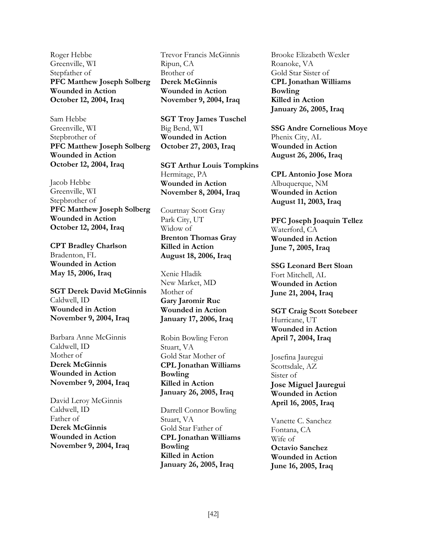Roger Hebbe Greenville, WI Stepfather of **PFC Matthew Joseph Solberg Wounded in Action October 12, 2004, Iraq** 

Sam Hebbe Greenville, WI Stepbrother of **PFC Matthew Joseph Solberg Wounded in Action October 12, 2004, Iraq** 

Jacob Hebbe Greenville, WI Stepbrother of **PFC Matthew Joseph Solberg Wounded in Action October 12, 2004, Iraq** 

**CPT Bradley Charlson** Bradenton, FL **Wounded in Action May 15, 2006, Iraq** 

**SGT Derek David McGinnis** Caldwell, ID **Wounded in Action November 9, 2004, Iraq** 

Barbara Anne McGinnis Caldwell, ID Mother of **Derek McGinnis Wounded in Action November 9, 2004, Iraq** 

David Leroy McGinnis Caldwell, ID Father of **Derek McGinnis Wounded in Action November 9, 2004, Iraq**  Trevor Francis McGinnis Ripun, CA Brother of **Derek McGinnis Wounded in Action November 9, 2004, Iraq** 

**SGT Troy James Tuschel** Big Bend, WI **Wounded in Action October 27, 2003, Iraq** 

**SGT Arthur Louis Tompkins** Hermitage, PA **Wounded in Action November 8, 2004, Iraq**

Courtnay Scott Gray Park City, UT Widow of **Brenton Thomas Gray Killed in Action August 18, 2006, Iraq** 

Xenie Hladik New Market, MD Mother of **Gary Jaromir Ruc Wounded in Action January 17, 2006, Iraq** 

Robin Bowling Feron Stuart, VA Gold Star Mother of **CPL Jonathan Williams Bowling Killed in Action January 26, 2005, Iraq** 

Darrell Connor Bowling Stuart, VA Gold Star Father of **CPL Jonathan Williams Bowling Killed in Action January 26, 2005, Iraq** 

Brooke Elizabeth Wexler Roanoke, VA Gold Star Sister of **CPL Jonathan Williams Bowling Killed in Action January 26, 2005, Iraq** 

**SSG Andre Cornelious Moye** Phenix City, AL **Wounded in Action August 26, 2006, Iraq** 

**CPL Antonio Jose Mora** Albuquerque, NM **Wounded in Action August 11, 2003, Iraq** 

**PFC Joseph Joaquin Tellez** Waterford, CA **Wounded in Action June 7, 2005, Iraq**

**SSG Leonard Bert Sloan** Fort Mitchell, AL **Wounded in Action June 21, 2004, Iraq** 

**SGT Craig Scott Sotebeer** Hurricane, UT **Wounded in Action April 7, 2004, Iraq** 

Josefina Jauregui Scottsdale, AZ Sister of **Jose Miguel Jauregui Wounded in Action April 16, 2005, Iraq**

Vanette C. Sanchez Fontana, CA Wife of **Octavio Sanchez Wounded in Action June 16, 2005, Iraq**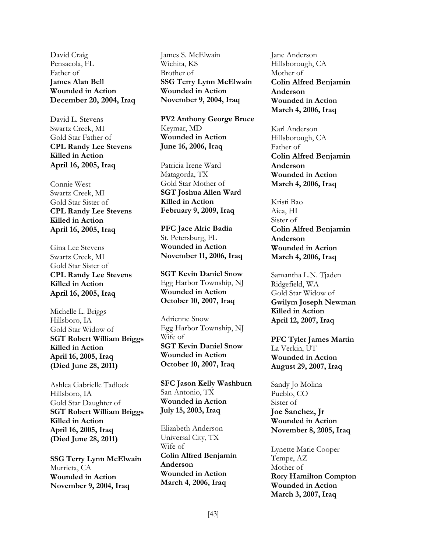David Craig Pensacola, FL Father of **James Alan Bell Wounded in Action December 20, 2004, Iraq**

David L. Stevens Swartz Creek, MI Gold Star Father of **CPL Randy Lee Stevens Killed in Action April 16, 2005, Iraq** 

Connie West Swartz Creek, MI Gold Star Sister of **CPL Randy Lee Stevens Killed in Action April 16, 2005, Iraq**

Gina Lee Stevens Swartz Creek, MI Gold Star Sister of **CPL Randy Lee Stevens Killed in Action April 16, 2005, Iraq**

Michelle L. Briggs Hillsboro, IA Gold Star Widow of **SGT Robert William Briggs Killed in Action April 16, 2005, Iraq (Died June 28, 2011)**

Ashlea Gabrielle Tadlock Hillsboro, IA Gold Star Daughter of **SGT Robert William Briggs Killed in Action April 16, 2005, Iraq (Died June 28, 2011)**

**SSG Terry Lynn McElwain** Murrieta, CA **Wounded in Action November 9, 2004, Iraq** 

James S. McElwain Wichita, KS Brother of **SSG Terry Lynn McElwain Wounded in Action November 9, 2004, Iraq** 

**PV2 Anthony George Bruce** Keymar, MD **Wounded in Action June 16, 2006, Iraq** 

Patricia Irene Ward Matagorda, TX Gold Star Mother of **SGT Joshua Allen Ward Killed in Action February 9, 2009, Iraq** 

**PFC Jace Alric Badia** St. Petersburg, FL **Wounded in Action November 11, 2006, Iraq** 

**SGT Kevin Daniel Snow** Egg Harbor Township, NJ **Wounded in Action October 10, 2007, Iraq** 

Adrienne Snow Egg Harbor Township, NJ Wife of **SGT Kevin Daniel Snow Wounded in Action October 10, 2007, Iraq** 

**SFC Jason Kelly Washburn** San Antonio, TX **Wounded in Action July 15, 2003, Iraq** 

Elizabeth Anderson Universal City, TX Wife of **Colin Alfred Benjamin Anderson Wounded in Action March 4, 2006, Iraq**

Jane Anderson Hillsborough, CA Mother of **Colin Alfred Benjamin Anderson Wounded in Action March 4, 2006, Iraq**

Karl Anderson Hillsborough, CA Father of **Colin Alfred Benjamin Anderson Wounded in Action March 4, 2006, Iraq**

Kristi Bao Aiea, HI Sister of **Colin Alfred Benjamin Anderson Wounded in Action March 4, 2006, Iraq**

Samantha L.N. Tjaden Ridgefield, WA Gold Star Widow of **Gwilym Joseph Newman Killed in Action April 12, 2007, Iraq** 

**PFC Tyler James Martin** La Verkin, UT **Wounded in Action August 29, 2007, Iraq** 

Sandy Jo Molina Pueblo, CO Sister of **Joe Sanchez, Jr Wounded in Action November 8, 2005, Iraq**

Lynette Marie Cooper Tempe, AZ Mother of **Rory Hamilton Compton Wounded in Action March 3, 2007, Iraq**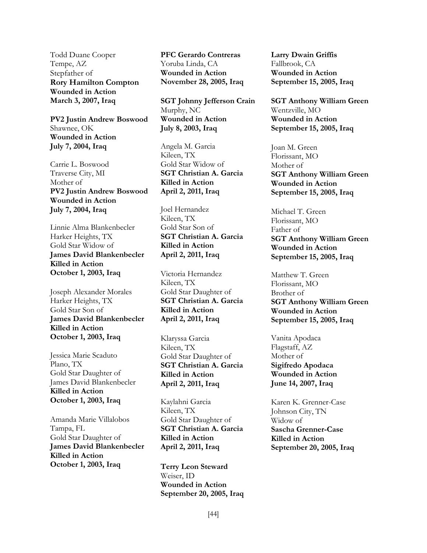Todd Duane Cooper Tempe, AZ Stepfather of **Rory Hamilton Compton Wounded in Action March 3, 2007, Iraq**

**PV2 Justin Andrew Boswood** Shawnee, OK **Wounded in Action July 7, 2004, Iraq** 

Carrie L. Boswood Traverse City, MI Mother of **PV2 Justin Andrew Boswood Wounded in Action July 7, 2004, Iraq**

Linnie Alma Blankenbecler Harker Heights, TX Gold Star Widow of **James David Blankenbecler Killed in Action October 1, 2003, Iraq** 

Joseph Alexander Morales Harker Heights, TX Gold Star Son of **James David Blankenbecler Killed in Action October 1, 2003, Iraq** 

Jessica Marie Scaduto Plano, TX Gold Star Daughter of James David Blankenbecler **Killed in Action October 1, 2003, Iraq** 

Amanda Marie Villalobos Tampa, FL Gold Star Daughter of **James David Blankenbecler Killed in Action October 1, 2003, Iraq** 

**PFC Gerardo Contreras** Yoruba Linda, CA **Wounded in Action November 28, 2005, Iraq** 

**SGT Johnny Jefferson Crain** Murphy, NC **Wounded in Action July 8, 2003, Iraq** 

Angela M. Garcia Kileen, TX Gold Star Widow of **SGT Christian A. Garcia Killed in Action April 2, 2011, Iraq**

Joel Hernandez Kileen, TX Gold Star Son of **SGT Christian A. Garcia Killed in Action April 2, 2011, Iraq** 

Victoria Hernandez Kileen, TX Gold Star Daughter of **SGT Christian A. Garcia Killed in Action April 2, 2011, Iraq**

Klaryssa Garcia Kileen, TX Gold Star Daughter of **SGT Christian A. Garcia Killed in Action April 2, 2011, Iraq**

Kaylahni Garcia Kileen, TX Gold Star Daughter of **SGT Christian A. Garcia Killed in Action April 2, 2011, Iraq**

**Terry Leon Steward** Weiser, ID **Wounded in Action September 20, 2005, Iraq**  **Larry Dwain Griffis** Fallbrook, CA **Wounded in Action September 15, 2005, Iraq** 

**SGT Anthony William Green** Wentzville, MO **Wounded in Action September 15, 2005, Iraq** 

Joan M. Green Florissant, MO Mother of **SGT Anthony William Green Wounded in Action September 15, 2005, Iraq** 

Michael T. Green Florissant, MO Father of **SGT Anthony William Green Wounded in Action September 15, 2005, Iraq** 

Matthew T. Green Florissant, MO Brother of **SGT Anthony William Green Wounded in Action September 15, 2005, Iraq** 

Vanita Apodaca Flagstaff, AZ Mother of **Sigifredo Apodaca Wounded in Action June 14, 2007, Iraq**

Karen K. Grenner-Case Johnson City, TN Widow of **Sascha Grenner-Case Killed in Action September 20, 2005, Iraq**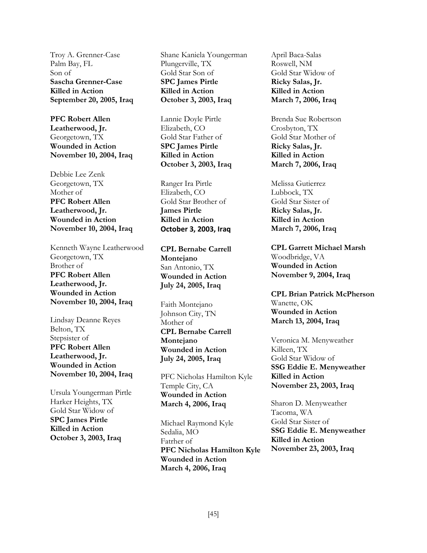Troy A. Grenner-Case Palm Bay, FL Son of **Sascha Grenner-Case Killed in Action September 20, 2005, Iraq** 

**PFC Robert Allen Leatherwood, Jr.**  Georgetown, TX **Wounded in Action November 10, 2004, Iraq** 

Debbie Lee Zenk Georgetown, TX Mother of **PFC Robert Allen Leatherwood, Jr. Wounded in Action November 10, 2004, Iraq** 

Kenneth Wayne Leatherwood Georgetown, TX Brother of **PFC Robert Allen Leatherwood, Jr. Wounded in Action November 10, 2004, Iraq** 

Lindsay Deanne Reyes Belton, TX Stepsister of **PFC Robert Allen Leatherwood, Jr. Wounded in Action November 10, 2004, Iraq** 

Ursula Youngerman Pirtle Harker Heights, TX Gold Star Widow of **SPC James Pirtle Killed in Action October 3, 2003, Iraq** 

Shane Kaniela Youngerman Plungerville, TX Gold Star Son of **SPC James Pirtle Killed in Action October 3, 2003, Iraq** 

Lannie Doyle Pirtle Elizabeth, CO Gold Star Father of **SPC James Pirtle Killed in Action October 3, 2003, Iraq**

Ranger Ira Pirtle Elizabeth, CO Gold Star Brother of **James Pirtle Killed in Action October 3, 2003, Iraq**

**CPL Bernabe Carrell Montejano**  San Antonio, TX **Wounded in Action July 24, 2005, Iraq** 

Faith Montejano Johnson City, TN Mother of **CPL Bernabe Carrell Montejano Wounded in Action July 24, 2005, Iraq** 

PFC Nicholas Hamilton Kyle Temple City, CA **Wounded in Action March 4, 2006, Iraq** 

Michael Raymond Kyle Sedalia, MO Fatrher of **PFC Nicholas Hamilton Kyle Wounded in Action March 4, 2006, Iraq**

April Baca-Salas Roswell, NM Gold Star Widow of **Ricky Salas, Jr. Killed in Action March 7, 2006, Iraq** 

Brenda Sue Robertson Crosbyton, TX Gold Star Mother of **Ricky Salas, Jr. Killed in Action March 7, 2006, Iraq** 

Melissa Gutierrez Lubbock, TX Gold Star Sister of **Ricky Salas, Jr. Killed in Action March 7, 2006, Iraq** 

**CPL Garrett Michael Marsh**  Woodbridge, VA **Wounded in Action November 9, 2004, Iraq** 

**CPL Brian Patrick McPherson** Wanette, OK **Wounded in Action March 13, 2004, Iraq** 

Veronica M. Menyweather Killeen, TX Gold Star Widow of **SSG Eddie E. Menyweather Killed in Action November 23, 2003, Iraq**

Sharon D. Menyweather Tacoma, WA Gold Star Sister of **SSG Eddie E. Menyweather Killed in Action November 23, 2003, Iraq**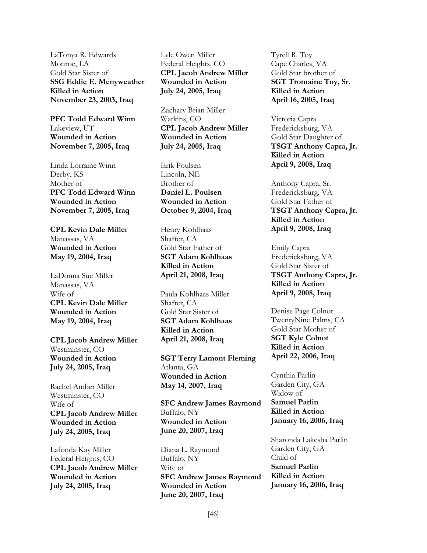LaTonya R. Edwards Monroe, LA Gold Star Sister of **SSG Eddie E. Menyweather Killed in Action November 23, 2003, Iraq** 

**PFC Todd Edward Winn** Lakeview, UT **Wounded in Action November 7, 2005, Iraq** 

Linda Lorraine Winn Derby, KS Mother of **PFC Todd Edward Winn Wounded in Action November 7, 2005, Iraq** 

**CPL Kevin Dale Miller** Manassas, VA **Wounded in Action May 19, 2004, Iraq** 

LaDonna Sue Miller Manassas, VA Wife of **CPL Kevin Dale Miller Wounded in Action May 19, 2004, Iraq** 

**CPL Jacob Andrew Miller** Westminster, CO **Wounded in Action July 24, 2005, Iraq** 

Rachel Amber Miller Westminster, CO Wife of **CPL Jacob Andrew Miller Wounded in Action July 24, 2005, Iraq** 

Lafonda Kay Miller Federal Heights, CO **CPL Jacob Andrew Miller Wounded in Action July 24, 2005, Iraq**

Lyle Owen Miller Federal Heights, CO **CPL Jacob Andrew Miller Wounded in Action July 24, 2005, Iraq**

Zachary Brian Miller Watkins, CO **CPL Jacob Andrew Miller Wounded in Action July 24, 2005, Iraq**

Erik Poulsen Lincoln, NE Brother of **Daniel L. Poulsen Wounded in Action October 9, 2004, Iraq**

Henry Kohlhaas Shafter, CA Gold Star Father of **SGT Adam Kohlhaas Killed in Action April 21, 2008, Iraq** 

Paula Kohlhaas Miller Shafter, CA Gold Star Sister of **SGT Adam Kohlhaas Killed in Action April 21, 2008, Iraq** 

**SGT Terry Lamont Fleming**  Atlanta, GA **Wounded in Action May 14, 2007, Iraq**

**SFC Andrew James Raymond** Buffalo, NY **Wounded in Action June 20, 2007, Iraq** 

Diana L. Raymond Buffalo, NY Wife of **SFC Andrew James Raymond Wounded in Action June 20, 2007, Iraq** 

Tyrell R. Toy Cape Charles, VA Gold Star brother of **SGT Tromaine Toy, Sr. Killed in Action April 16, 2005, Iraq** 

Victoria Capra Fredericksburg, VA Gold Star Daughter of **TSGT Anthony Capra, Jr. Killed in Action April 9, 2008, Iraq** 

Anthony Capra, Sr. Fredericksburg, VA Gold Star Father of **TSGT Anthony Capra, Jr. Killed in Action April 9, 2008, Iraq** 

Emily Capra Fredericksburg, VA Gold Star Sister of **TSGT Anthony Capra, Jr. Killed in Action April 9, 2008, Iraq** 

Denise Page Colnot TwentyNine Palms, CA Gold Star Mother of **SGT Kyle Colnot Killed in Action April 22, 2006, Iraq** 

Cynthia Parlin Garden City, GA Widow of **Samuel Parlin Killed in Action January 16, 2006, Iraq** 

Sharonda Lakesha Parlin Garden City, GA Child of **Samuel Parlin Killed in Action January 16, 2006, Iraq**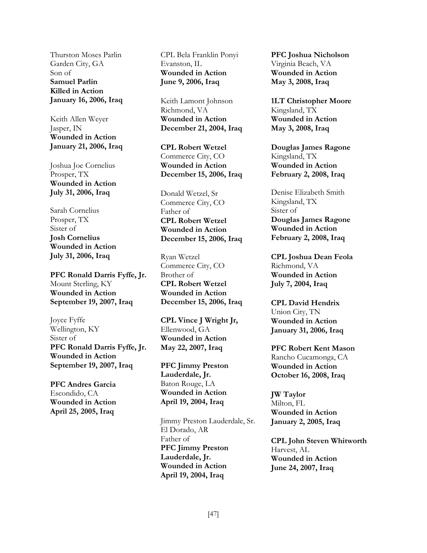Thurston Moses Parlin Garden City, GA Son of **Samuel Parlin Killed in Action January 16, 2006, Iraq** 

Keith Allen Weyer Jasper, IN **Wounded in Action January 21, 2006, Iraq** 

Joshua Joe Cornelius Prosper, TX **Wounded in Action July 31, 2006, Iraq**

Sarah Cornelius Prosper, TX Sister of **Josh Cornelius Wounded in Action July 31, 2006, Iraq** 

**PFC Ronald Darris Fyffe, Jr.** Mount Sterling, KY **Wounded in Action September 19, 2007, Iraq** 

Joyce Fyffe Wellington, KY Sister of **PFC Ronald Darris Fyffe, Jr. Wounded in Action September 19, 2007, Iraq** 

**PFC Andres Garcia** Escondido, CA **Wounded in Action April 25, 2005, Iraq** 

CPL Bela Franklin Ponyi Evanston, IL **Wounded in Action June 9, 2006, Iraq** 

Keith Lamont Johnson Richmond, VA **Wounded in Action December 21, 2004, Iraq** 

**CPL Robert Wetzel** Commerce City, CO **Wounded in Action December 15, 2006, Iraq** 

Donald Wetzel, Sr Commerce City, CO Father of **CPL Robert Wetzel Wounded in Action December 15, 2006, Iraq** 

Ryan Wetzel Commerce City, CO Brother of **CPL Robert Wetzel Wounded in Action December 15, 2006, Iraq**

**CPL Vince J Wright Jr,** Ellenwood, GA **Wounded in Action May 22, 2007, Iraq** 

**PFC Jimmy Preston Lauderdale, Jr.** Baton Rouge, LA **Wounded in Action April 19, 2004, Iraq** 

Jimmy Preston Lauderdale, Sr. El Dorado, AR Father of **PFC Jimmy Preston Lauderdale, Jr. Wounded in Action April 19, 2004, Iraq**

**PFC Joshua Nicholson** Virginia Beach, VA **Wounded in Action May 3, 2008, Iraq** 

**1LT Christopher Moore** Kingsland, TX **Wounded in Action May 3, 2008, Iraq** 

**Douglas James Ragone** Kingsland, TX **Wounded in Action February 2, 2008, Iraq** 

Denise Elizabeth Smith Kingsland, TX Sister of **Douglas James Ragone Wounded in Action February 2, 2008, Iraq** 

**CPL Joshua Dean Feola** Richmond, VA **Wounded in Action July 7, 2004, Iraq** 

**CPL David Hendrix** Union City, TN **Wounded in Action January 31, 2006, Iraq** 

**PFC Robert Kent Mason** Rancho Cucamonga, CA **Wounded in Action October 16, 2008, Iraq** 

**JW Taylor** Milton, FL **Wounded in Action January 2, 2005, Iraq** 

**CPL John Steven Whitworth** Harvest, AL **Wounded in Action June 24, 2007, Iraq**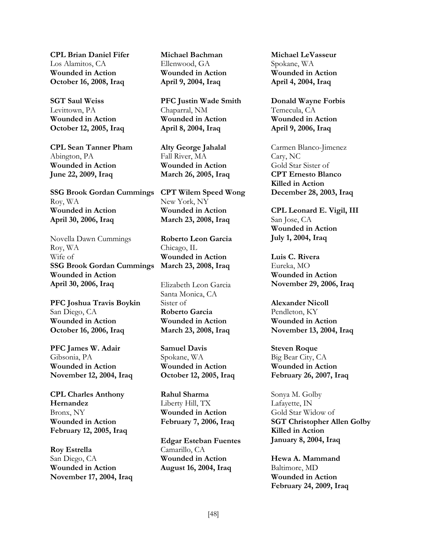**CPL Brian Daniel Fifer** Los Alamitos, CA **Wounded in Action October 16, 2008, Iraq** 

**SGT Saul Weiss** Levittown, PA **Wounded in Action October 12, 2005, Iraq** 

**CPL Sean Tanner Pham** Abington, PA **Wounded in Action June 22, 2009, Iraq**

**SSG Brook Gordan Cummings** Roy, WA **Wounded in Action April 30, 2006, Iraq** 

Novella Dawn Cummings Roy, WA Wife of **SSG Brook Gordan Cummings Wounded in Action April 30, 2006, Iraq** 

**PFC Joshua Travis Boykin** San Diego, CA **Wounded in Action October 16, 2006, Iraq**

**PFC James W. Adair** Gibsonia, PA **Wounded in Action November 12, 2004, Iraq** 

**CPL Charles Anthony Hernandez** Bronx, NY **Wounded in Action February 12, 2005, Iraq** 

**Roy Estrella** San Diego, CA **Wounded in Action November 17, 2004, Iraq**  **Michael Bachman** Ellenwood, GA **Wounded in Action April 9, 2004, Iraq** 

**PFC Justin Wade Smith** Chaparral, NM **Wounded in Action April 8, 2004, Iraq** 

**Alty George Jahalal** Fall River, MA **Wounded in Action March 26, 2005, Iraq** 

**CPT Wilem Speed Wong** New York, NY **Wounded in Action March 23, 2008, Iraq** 

**Roberto Leon Garcia** Chicago, IL **Wounded in Action March 23, 2008, Iraq** 

Elizabeth Leon Garcia Santa Monica, CA Sister of **Roberto Garcia Wounded in Action March 23, 2008, Iraq**

**Samuel Davis** Spokane, WA **Wounded in Action October 12, 2005, Iraq** 

**Rahul Sharma** Liberty Hill, TX **Wounded in Action February 7, 2006, Iraq** 

**Edgar Esteban Fuentes** Camarillo, CA **Wounded in Action August 16, 2004, Iraq** 

**Michael LeVasseur** Spokane, WA **Wounded in Action April 4, 2004, Iraq** 

**Donald Wayne Forbis** Temecula, CA **Wounded in Action April 9, 2006, Iraq** 

Carmen Blanco-Jimenez Cary, NC Gold Star Sister of **CPT Ernesto Blanco Killed in Action December 28, 2003, Iraq** 

**CPL Leonard E. Vigil, III** San Jose, CA **Wounded in Action July 1, 2004, Iraq** 

**Luis C. Rivera** Eureka, MO **Wounded in Action November 29, 2006, Iraq** 

**Alexander Nicoll** Pendleton, KY **Wounded in Action November 13, 2004, Iraq** 

**Steven Roque** Big Bear City, CA **Wounded in Action February 26, 2007, Iraq** 

Sonya M. Golby Lafayette, IN Gold Star Widow of **SGT Christopher Allen Golby Killed in Action January 8, 2004, Iraq** 

**Hewa A. Mammand** Baltimore, MD **Wounded in Action February 24, 2009, Iraq**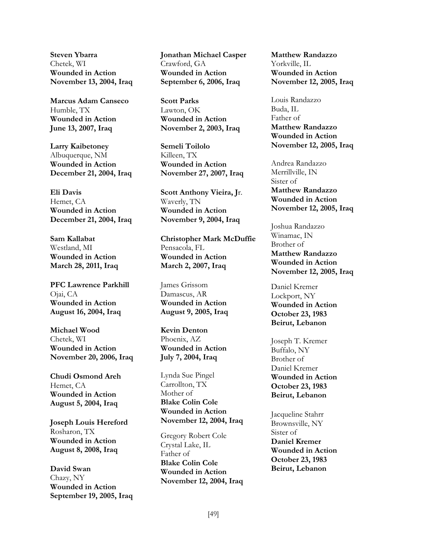**Steven Ybarra** Chetek, WI **Wounded in Action November 13, 2004, Iraq** 

**Marcus Adam Canseco** Humble, TX **Wounded in Action June 13, 2007, Iraq** 

**Larry Kaibetoney** Albuquerque, NM **Wounded in Action December 21, 2004, Iraq** 

**Eli Davis** Hemet, CA **Wounded in Action December 21, 2004, Iraq** 

**Sam Kallabat** Westland, MI **Wounded in Action March 28, 2011, Iraq** 

**PFC Lawrence Parkhill** Ojai, CA **Wounded in Action August 16, 2004, Iraq** 

**Michael Wood** Chetek, WI **Wounded in Action November 20, 2006, Iraq** 

**Chudi Osmond Areh** Hemet, CA **Wounded in Action August 5, 2004, Iraq** 

**Joseph Louis Hereford** Rosharon, TX **Wounded in Action August 8, 2008, Iraq** 

**David Swan** Chazy, NY **Wounded in Action September 19, 2005, Iraq**  **Jonathan Michael Casper** Crawford, GA **Wounded in Action September 6, 2006, Iraq** 

**Scott Parks**  Lawton, OK **Wounded in Action November 2, 2003, Iraq** 

**Semeli Toilolo** Killeen, TX **Wounded in Action November 27, 2007, Iraq** 

**Scott Anthony Vieira, J**r. Waverly, TN **Wounded in Action November 9, 2004, Iraq** 

**Christopher Mark McDuffie**  Pensacola, FL **Wounded in Action March 2, 2007, Iraq** 

James Grissom Damascus, AR **Wounded in Action August 9, 2005, Iraq** 

**Kevin Denton** Phoenix, AZ **Wounded in Action July 7, 2004, Iraq** 

Lynda Sue Pingel Carrollton, TX Mother of **Blake Colin Cole Wounded in Action November 12, 2004, Iraq**

Gregory Robert Cole Crystal Lake, IL Father of **Blake Colin Cole Wounded in Action November 12, 2004, Iraq** **Matthew Randazzo** Yorkville, IL **Wounded in Action November 12, 2005, Iraq**

Louis Randazzo Buda, IL Father of **Matthew Randazzo Wounded in Action November 12, 2005, Iraq**

Andrea Randazzo Merrillville, IN Sister of **Matthew Randazzo Wounded in Action November 12, 2005, Iraq**

Joshua Randazzo Winamac, IN Brother of **Matthew Randazzo Wounded in Action November 12, 2005, Iraq**

Daniel Kremer Lockport, NY **Wounded in Action October 23, 1983 Beirut, Lebanon**

Joseph T. Kremer Buffalo, NY Brother of Daniel Kremer **Wounded in Action October 23, 1983 Beirut, Lebanon**

Jacqueline Stahrr Brownsville, NY Sister of **Daniel Kremer Wounded in Action October 23, 1983 Beirut, Lebanon**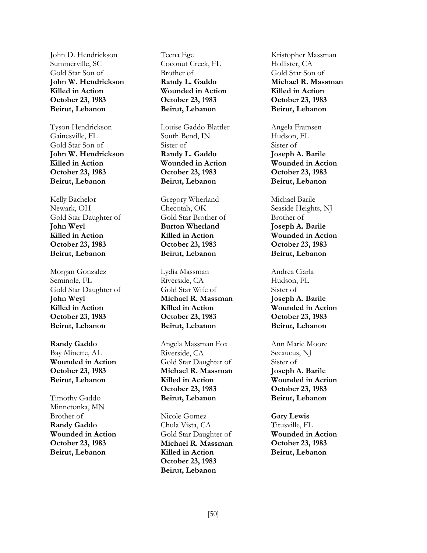John D. Hendrickson Summerville, SC Gold Star Son of **John W. Hendrickson Killed in Action October 23, 1983 Beirut, Lebanon**

Tyson Hendrickson Gainesville, FL Gold Star Son of **John W. Hendrickson Killed in Action October 23, 1983 Beirut, Lebanon**

Kelly Bachelor Newark, OH Gold Star Daughter of **John Weyl Killed in Action October 23, 1983 Beirut, Lebanon**

Morgan Gonzalez Seminole, FL Gold Star Daughter of **John Weyl Killed in Action October 23, 1983 Beirut, Lebanon**

**Randy Gaddo** Bay Minette, AL **Wounded in Action October 23, 1983 Beirut, Lebanon**

Timothy Gaddo Minnetonka, MN Brother of **Randy Gaddo Wounded in Action October 23, 1983 Beirut, Lebanon**

Teena Ege Coconut Creek, FL Brother of **Randy L. Gaddo Wounded in Action October 23, 1983 Beirut, Lebanon**

Louise Gaddo Blattler South Bend, IN Sister of **Randy L. Gaddo Wounded in Action October 23, 1983 Beirut, Lebanon**

Gregory Wherland Checotah, OK Gold Star Brother of **Burton Wherland Killed in Action October 23, 1983 Beirut, Lebanon**

Lydia Massman Riverside, CA Gold Star Wife of **Michael R. Massman Killed in Action October 23, 1983 Beirut, Lebanon**

Angela Massman Fox Riverside, CA Gold Star Daughter of **Michael R. Massman Killed in Action October 23, 1983 Beirut, Lebanon**

Nicole Gomez Chula Vista, CA Gold Star Daughter of **Michael R. Massman Killed in Action October 23, 1983 Beirut, Lebanon**

Kristopher Massman Hollister, CA Gold Star Son of **Michael R. Massman Killed in Action October 23, 1983 Beirut, Lebanon**

Angela Framsen Hudson, FL Sister of **Joseph A. Barile Wounded in Action October 23, 1983 Beirut, Lebanon**

Michael Barile Seaside Heights, NJ Brother of **Joseph A. Barile Wounded in Action October 23, 1983 Beirut, Lebanon**

Andrea Ciarla Hudson, FL Sister of **Joseph A. Barile Wounded in Action October 23, 1983 Beirut, Lebanon**

Ann Marie Moore Secaucus, NJ Sister of **Joseph A. Barile Wounded in Action October 23, 1983 Beirut, Lebanon**

**Gary Lewis** Titusville, FL **Wounded in Action October 23, 1983 Beirut, Lebanon**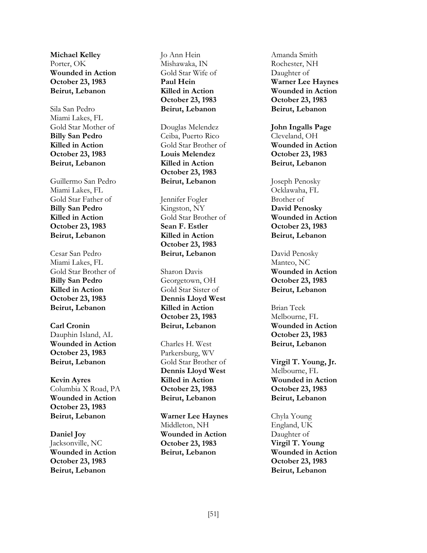**Michael Kelley** Porter, OK **Wounded in Action October 23, 1983 Beirut, Lebanon**

Sila San Pedro Miami Lakes, FL Gold Star Mother of **Billy San Pedro Killed in Action October 23, 1983 Beirut, Lebanon**

Guillermo San Pedro Miami Lakes, FL Gold Star Father of **Billy San Pedro Killed in Action October 23, 1983 Beirut, Lebanon**

Cesar San Pedro Miami Lakes, FL Gold Star Brother of **Billy San Pedro Killed in Action October 23, 1983 Beirut, Lebanon**

**Carl Cronin** Dauphin Island, AL **Wounded in Action October 23, 1983 Beirut, Lebanon**

**Kevin Ayres** Columbia X Road, PA **Wounded in Action October 23, 1983 Beirut, Lebanon**

**Daniel Joy** Jacksonville, NC **Wounded in Action October 23, 1983 Beirut, Lebanon**

Jo Ann Hein Mishawaka, IN Gold Star Wife of **Paul Hein Killed in Action October 23, 1983 Beirut, Lebanon**

Douglas Melendez Ceiba, Puerto Rico Gold Star Brother of **Louis Melendez Killed in Action October 23, 1983 Beirut, Lebanon**

Jennifer Fogler Kingston, NY Gold Star Brother of **Sean F. Estler Killed in Action October 23, 1983 Beirut, Lebanon**

Sharon Davis Georgetown, OH Gold Star Sister of **Dennis Lloyd West Killed in Action October 23, 1983 Beirut, Lebanon**

Charles H. West Parkersburg, WV Gold Star Brother of **Dennis Lloyd West Killed in Action October 23, 1983 Beirut, Lebanon**

**Warner Lee Haynes** Middleton, NH **Wounded in Action October 23, 1983 Beirut, Lebanon**

Amanda Smith Rochester, NH Daughter of **Warner Lee Haynes Wounded in Action October 23, 1983 Beirut, Lebanon**

**John Ingalls Page** Cleveland, OH **Wounded in Action October 23, 1983 Beirut, Lebanon**

Joseph Penosky Ocklawaha, FL Brother of **David Penosky Wounded in Action October 23, 1983 Beirut, Lebanon**

David Penosky Manteo, NC **Wounded in Action October 23, 1983 Beirut, Lebanon**

Brian Teek Melbourne, FL **Wounded in Action October 23, 1983 Beirut, Lebanon**

**Virgil T. Young, Jr.** Melbourne, FL **Wounded in Action October 23, 1983 Beirut, Lebanon**

Chyla Young England, UK Daughter of **Virgil T. Young Wounded in Action October 23, 1983 Beirut, Lebanon**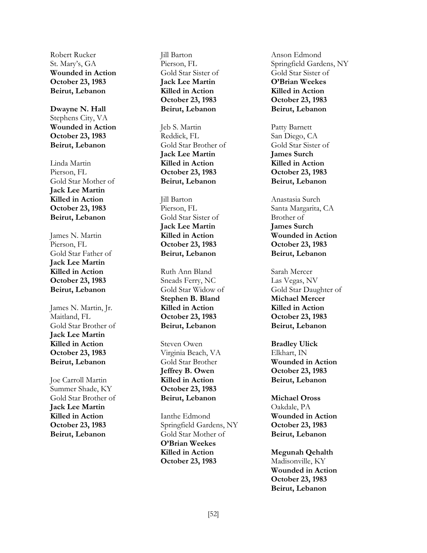Robert Rucker St. Mary's, GA **Wounded in Action October 23, 1983 Beirut, Lebanon**

**Dwayne N. Hall** Stephens City, VA **Wounded in Action October 23, 1983 Beirut, Lebanon**

Linda Martin Pierson, FL Gold Star Mother of **Jack Lee Martin Killed in Action October 23, 1983 Beirut, Lebanon**

James N. Martin Pierson, FL Gold Star Father of **Jack Lee Martin Killed in Action October 23, 1983 Beirut, Lebanon**

James N. Martin, Jr. Maitland, FL Gold Star Brother of **Jack Lee Martin Killed in Action October 23, 1983 Beirut, Lebanon**

Joe Carroll Martin Summer Shade, KY Gold Star Brother of **Jack Lee Martin Killed in Action October 23, 1983 Beirut, Lebanon**

Jill Barton Pierson, FL Gold Star Sister of **Jack Lee Martin Killed in Action October 23, 1983 Beirut, Lebanon**

Jeb S. Martin Reddick, FL Gold Star Brother of **Jack Lee Martin Killed in Action October 23, 1983 Beirut, Lebanon**

Jill Barton Pierson, FL Gold Star Sister of **Jack Lee Martin Killed in Action October 23, 1983 Beirut, Lebanon**

Ruth Ann Bland Sneads Ferry, NC Gold Star Widow of **Stephen B. Bland Killed in Action October 23, 1983 Beirut, Lebanon**

Steven Owen Virginia Beach, VA Gold Star Brother **Jeffrey B. Owen Killed in Action October 23, 1983 Beirut, Lebanon**

Ianthe Edmond Springfield Gardens, NY Gold Star Mother of **O'Brian Weekes Killed in Action October 23, 1983**

Anson Edmond Springfield Gardens, NY Gold Star Sister of **O'Brian Weekes Killed in Action October 23, 1983 Beirut, Lebanon**

Patty Barnett San Diego, CA Gold Star Sister of **James Surch Killed in Action October 23, 1983 Beirut, Lebanon**

Anastasia Surch Santa Margarita, CA Brother of **James Surch Wounded in Action October 23, 1983 Beirut, Lebanon**

Sarah Mercer Las Vegas, NV Gold Star Daughter of **Michael Mercer Killed in Action October 23, 1983 Beirut, Lebanon**

**Bradley Ulick** Elkhart, IN **Wounded in Action October 23, 1983 Beirut, Lebanon**

**Michael Oross** Oakdale, PA **Wounded in Action October 23, 1983 Beirut, Lebanon**

**Megunah Qehalth** Madisonville, KY **Wounded in Action October 23, 1983 Beirut, Lebanon**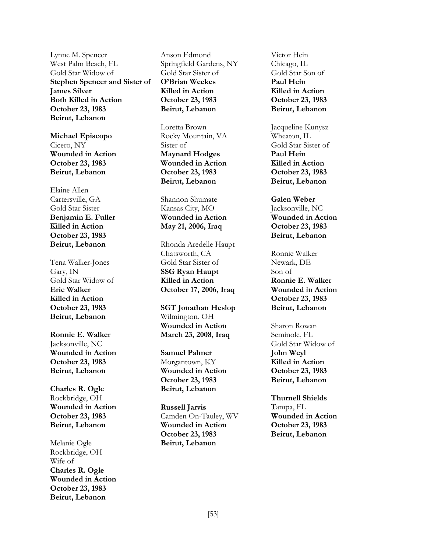Lynne M. Spencer West Palm Beach, FL Gold Star Widow of **Stephen Spencer and Sister of James Silver Both Killed in Action October 23, 1983 Beirut, Lebanon**

**Michael Episcopo** Cicero, NY **Wounded in Action October 23, 1983 Beirut, Lebanon**

Elaine Allen Cartersville, GA Gold Star Sister **Benjamin E. Fuller Killed in Action October 23, 1983 Beirut, Lebanon**

Tena Walker-Jones Gary, IN Gold Star Widow of **Eric Walker Killed in Action October 23, 1983 Beirut, Lebanon**

**Ronnie E. Walker** Jacksonville, NC **Wounded in Action October 23, 1983 Beirut, Lebanon**

**Charles R. Ogle** Rockbridge, OH **Wounded in Action October 23, 1983 Beirut, Lebanon**

Melanie Ogle Rockbridge, OH Wife of **Charles R. Ogle Wounded in Action October 23, 1983 Beirut, Lebanon**

Anson Edmond Springfield Gardens, NY Gold Star Sister of **O'Brian Weekes Killed in Action October 23, 1983 Beirut, Lebanon**

Loretta Brown Rocky Mountain, VA Sister of **Maynard Hodges Wounded in Action October 23, 1983 Beirut, Lebanon**

Shannon Shumate Kansas City, MO **Wounded in Action May 21, 2006, Iraq**

Rhonda Aredelle Haupt Chatsworth, CA Gold Star Sister of **SSG Ryan Haupt Killed in Action October 17, 2006, Iraq**

**SGT Jonathan Heslop** Wilmington, OH **Wounded in Action March 23, 2008, Iraq**

**Samuel Palmer** Morgantown, KY **Wounded in Action October 23, 1983 Beirut, Lebanon**

**Russell Jarvis** Camden On-Tauley, WV **Wounded in Action October 23, 1983 Beirut, Lebanon**

Victor Hein Chicago, IL Gold Star Son of **Paul Hein Killed in Action October 23, 1983 Beirut, Lebanon**

Jacqueline Kunysz Wheaton, IL Gold Star Sister of **Paul Hein Killed in Action October 23, 1983 Beirut, Lebanon**

**Galen Weber** Jacksonville, NC **Wounded in Action October 23, 1983 Beirut, Lebanon**

Ronnie Walker Newark, DE Son of **Ronnie E. Walker Wounded in Action October 23, 1983 Beirut, Lebanon**

Sharon Rowan Seminole, FL Gold Star Widow of **John Weyl Killed in Action October 23, 1983 Beirut, Lebanon**

**Thurnell Shields** Tampa, FL **Wounded in Action October 23, 1983 Beirut, Lebanon**